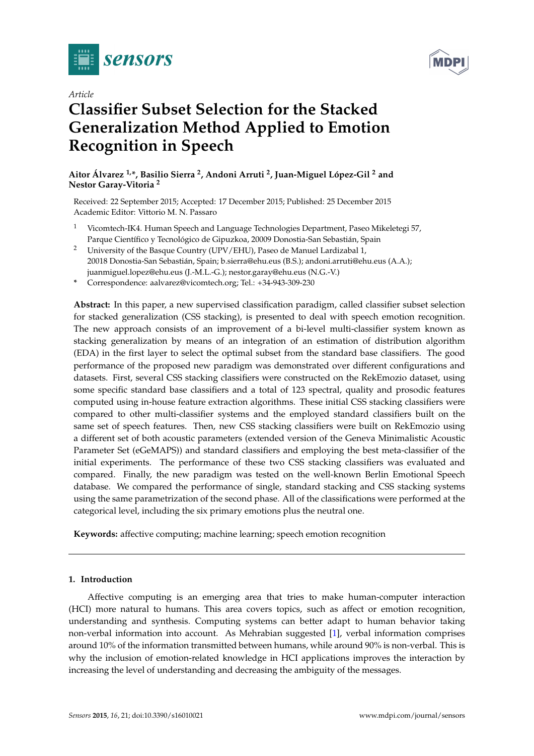



## *Article*

# **Classifier Subset Selection for the Stacked Generalization Method Applied to Emotion Recognition in Speech**

**Aitor Álvarez 1,\*, Basilio Sierra <sup>2</sup> , Andoni Arruti <sup>2</sup> , Juan-Miguel López-Gil <sup>2</sup> and Nestor Garay-Vitoria <sup>2</sup>**

Received: 22 September 2015; Accepted: 17 December 2015; Published: 25 December 2015 Academic Editor: Vittorio M. N. Passaro

- <sup>1</sup> Vicomtech-IK4. Human Speech and Language Technologies Department, Paseo Mikeletegi 57, Parque Científico y Tecnológico de Gipuzkoa, 20009 Donostia-San Sebastián, Spain
- <sup>2</sup> University of the Basque Country (UPV/EHU), Paseo de Manuel Lardizabal 1, 20018 Donostia-San Sebastián, Spain; b.sierra@ehu.eus (B.S.); andoni.arruti@ehu.eus (A.A.); juanmiguel.lopez@ehu.eus (J.-M.L.-G.); nestor.garay@ehu.eus (N.G.-V.)
- **\*** Correspondence: aalvarez@vicomtech.org; Tel.: +34-943-309-230

**Abstract:** In this paper, a new supervised classification paradigm, called classifier subset selection for stacked generalization (CSS stacking), is presented to deal with speech emotion recognition. The new approach consists of an improvement of a bi-level multi-classifier system known as stacking generalization by means of an integration of an estimation of distribution algorithm (EDA) in the first layer to select the optimal subset from the standard base classifiers. The good performance of the proposed new paradigm was demonstrated over different configurations and datasets. First, several CSS stacking classifiers were constructed on the RekEmozio dataset, using some specific standard base classifiers and a total of 123 spectral, quality and prosodic features computed using in-house feature extraction algorithms. These initial CSS stacking classifiers were compared to other multi-classifier systems and the employed standard classifiers built on the same set of speech features. Then, new CSS stacking classifiers were built on RekEmozio using a different set of both acoustic parameters (extended version of the Geneva Minimalistic Acoustic Parameter Set (eGeMAPS)) and standard classifiers and employing the best meta-classifier of the initial experiments. The performance of these two CSS stacking classifiers was evaluated and compared. Finally, the new paradigm was tested on the well-known Berlin Emotional Speech database. We compared the performance of single, standard stacking and CSS stacking systems using the same parametrization of the second phase. All of the classifications were performed at the categorical level, including the six primary emotions plus the neutral one.

**Keywords:** affective computing; machine learning; speech emotion recognition

## **1. Introduction**

Affective computing is an emerging area that tries to make human-computer interaction (HCI) more natural to humans. This area covers topics, such as affect or emotion recognition, understanding and synthesis. Computing systems can better adapt to human behavior taking non-verbal information into account. As Mehrabian suggested [\[1\]](#page-22-0), verbal information comprises around 10% of the information transmitted between humans, while around 90% is non-verbal. This is why the inclusion of emotion-related knowledge in HCI applications improves the interaction by increasing the level of understanding and decreasing the ambiguity of the messages.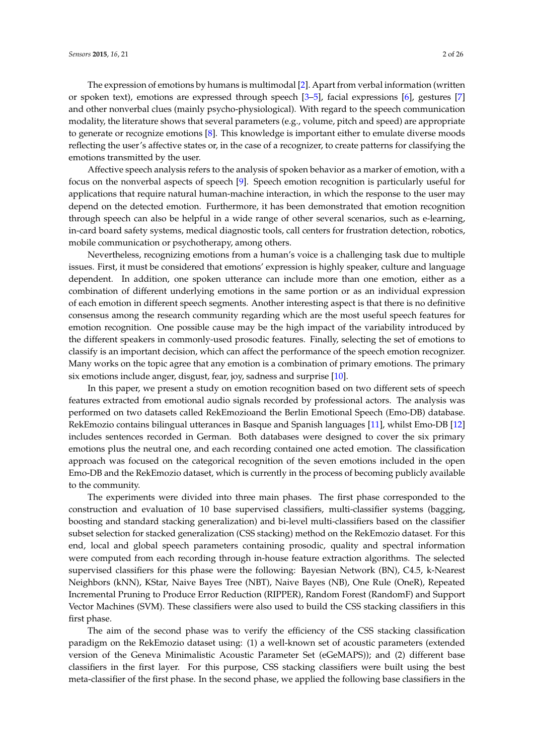The expression of emotions by humans is multimodal [\[2\]](#page-22-1). Apart from verbal information (written or spoken text), emotions are expressed through speech [\[3–](#page-22-2)[5\]](#page-22-3), facial expressions [\[6\]](#page-22-4), gestures [\[7\]](#page-22-5) and other nonverbal clues (mainly psycho-physiological). With regard to the speech communication modality, the literature shows that several parameters (e.g., volume, pitch and speed) are appropriate to generate or recognize emotions [\[8\]](#page-22-6). This knowledge is important either to emulate diverse moods reflecting the user's affective states or, in the case of a recognizer, to create patterns for classifying the emotions transmitted by the user.

Affective speech analysis refers to the analysis of spoken behavior as a marker of emotion, with a focus on the nonverbal aspects of speech [\[9\]](#page-22-7). Speech emotion recognition is particularly useful for applications that require natural human-machine interaction, in which the response to the user may depend on the detected emotion. Furthermore, it has been demonstrated that emotion recognition through speech can also be helpful in a wide range of other several scenarios, such as e-learning, in-card board safety systems, medical diagnostic tools, call centers for frustration detection, robotics, mobile communication or psychotherapy, among others.

Nevertheless, recognizing emotions from a human's voice is a challenging task due to multiple issues. First, it must be considered that emotions' expression is highly speaker, culture and language dependent. In addition, one spoken utterance can include more than one emotion, either as a combination of different underlying emotions in the same portion or as an individual expression of each emotion in different speech segments. Another interesting aspect is that there is no definitive consensus among the research community regarding which are the most useful speech features for emotion recognition. One possible cause may be the high impact of the variability introduced by the different speakers in commonly-used prosodic features. Finally, selecting the set of emotions to classify is an important decision, which can affect the performance of the speech emotion recognizer. Many works on the topic agree that any emotion is a combination of primary emotions. The primary six emotions include anger, disgust, fear, joy, sadness and surprise [\[10\]](#page-22-8).

In this paper, we present a study on emotion recognition based on two different sets of speech features extracted from emotional audio signals recorded by professional actors. The analysis was performed on two datasets called RekEmozioand the Berlin Emotional Speech (Emo-DB) database. RekEmozio contains bilingual utterances in Basque and Spanish languages [\[11\]](#page-23-0), whilst Emo-DB [\[12\]](#page-23-1) includes sentences recorded in German. Both databases were designed to cover the six primary emotions plus the neutral one, and each recording contained one acted emotion. The classification approach was focused on the categorical recognition of the seven emotions included in the open Emo-DB and the RekEmozio dataset, which is currently in the process of becoming publicly available to the community.

The experiments were divided into three main phases. The first phase corresponded to the construction and evaluation of 10 base supervised classifiers, multi-classifier systems (bagging, boosting and standard stacking generalization) and bi-level multi-classifiers based on the classifier subset selection for stacked generalization (CSS stacking) method on the RekEmozio dataset. For this end, local and global speech parameters containing prosodic, quality and spectral information were computed from each recording through in-house feature extraction algorithms. The selected supervised classifiers for this phase were the following: Bayesian Network (BN), C4.5, k-Nearest Neighbors (kNN), KStar, Naive Bayes Tree (NBT), Naive Bayes (NB), One Rule (OneR), Repeated Incremental Pruning to Produce Error Reduction (RIPPER), Random Forest (RandomF) and Support Vector Machines (SVM). These classifiers were also used to build the CSS stacking classifiers in this first phase.

The aim of the second phase was to verify the efficiency of the CSS stacking classification paradigm on the RekEmozio dataset using: (1) a well-known set of acoustic parameters (extended version of the Geneva Minimalistic Acoustic Parameter Set (eGeMAPS)); and (2) different base classifiers in the first layer. For this purpose, CSS stacking classifiers were built using the best meta-classifier of the first phase. In the second phase, we applied the following base classifiers in the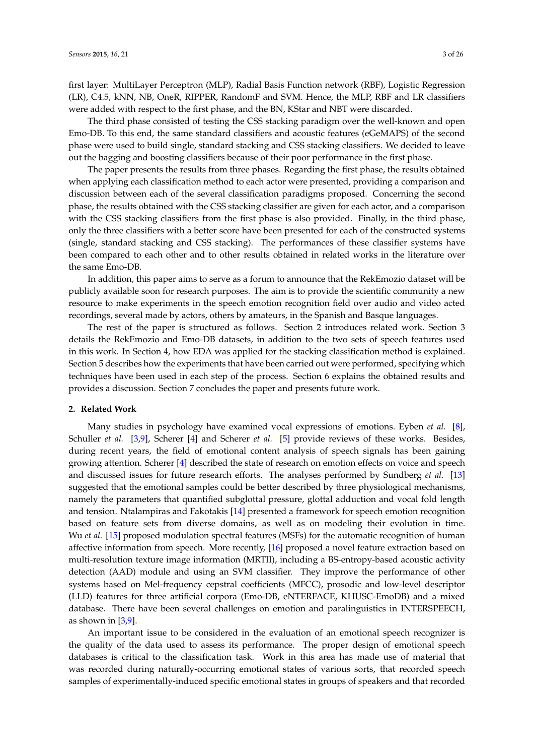first layer: MultiLayer Perceptron (MLP), Radial Basis Function network (RBF), Logistic Regression (LR), C4.5, kNN, NB, OneR, RIPPER, RandomF and SVM. Hence, the MLP, RBF and LR classifiers were added with respect to the first phase, and the BN, KStar and NBT were discarded.

The third phase consisted of testing the CSS stacking paradigm over the well-known and open Emo-DB. To this end, the same standard classifiers and acoustic features (eGeMAPS) of the second phase were used to build single, standard stacking and CSS stacking classifiers. We decided to leave out the bagging and boosting classifiers because of their poor performance in the first phase.

The paper presents the results from three phases. Regarding the first phase, the results obtained when applying each classification method to each actor were presented, providing a comparison and discussion between each of the several classification paradigms proposed. Concerning the second phase, the results obtained with the CSS stacking classifier are given for each actor, and a comparison with the CSS stacking classifiers from the first phase is also provided. Finally, in the third phase, only the three classifiers with a better score have been presented for each of the constructed systems (single, standard stacking and CSS stacking). The performances of these classifier systems have been compared to each other and to other results obtained in related works in the literature over the same Emo-DB.

In addition, this paper aims to serve as a forum to announce that the RekEmozio dataset will be publicly available soon for research purposes. The aim is to provide the scientific community a new resource to make experiments in the speech emotion recognition field over audio and video acted recordings, several made by actors, others by amateurs, in the Spanish and Basque languages.

The rest of the paper is structured as follows. Section 2 introduces related work. Section 3 details the RekEmozio and Emo-DB datasets, in addition to the two sets of speech features used in this work. In Section 4, how EDA was applied for the stacking classification method is explained. Section 5 describes how the experiments that have been carried out were performed, specifying which techniques have been used in each step of the process. Section 6 explains the obtained results and provides a discussion. Section 7 concludes the paper and presents future work.

#### **2. Related Work**

Many studies in psychology have examined vocal expressions of emotions. Eyben *et al.* [\[8\]](#page-22-6), Schuller *et al.* [\[3,](#page-22-2)[9\]](#page-22-7), Scherer [\[4\]](#page-22-9) and Scherer *et al.* [\[5\]](#page-22-3) provide reviews of these works. Besides, during recent years, the field of emotional content analysis of speech signals has been gaining growing attention. Scherer [\[4\]](#page-22-9) described the state of research on emotion effects on voice and speech and discussed issues for future research efforts. The analyses performed by Sundberg *et al.* [\[13\]](#page-23-2) suggested that the emotional samples could be better described by three physiological mechanisms, namely the parameters that quantified subglottal pressure, glottal adduction and vocal fold length and tension. Ntalampiras and Fakotakis [\[14\]](#page-23-3) presented a framework for speech emotion recognition based on feature sets from diverse domains, as well as on modeling their evolution in time. Wu *et al.* [\[15\]](#page-23-4) proposed modulation spectral features (MSFs) for the automatic recognition of human affective information from speech. More recently, [\[16\]](#page-23-5) proposed a novel feature extraction based on multi-resolution texture image information (MRTII), including a BS-entropy-based acoustic activity detection (AAD) module and using an SVM classifier. They improve the performance of other systems based on Mel-frequency cepstral coefficients (MFCC), prosodic and low-level descriptor (LLD) features for three artificial corpora (Emo-DB, eNTERFACE, KHUSC-EmoDB) and a mixed database. There have been several challenges on emotion and paralinguistics in INTERSPEECH, as shown in  $[3,9]$  $[3,9]$ .

An important issue to be considered in the evaluation of an emotional speech recognizer is the quality of the data used to assess its performance. The proper design of emotional speech databases is critical to the classification task. Work in this area has made use of material that was recorded during naturally-occurring emotional states of various sorts, that recorded speech samples of experimentally-induced specific emotional states in groups of speakers and that recorded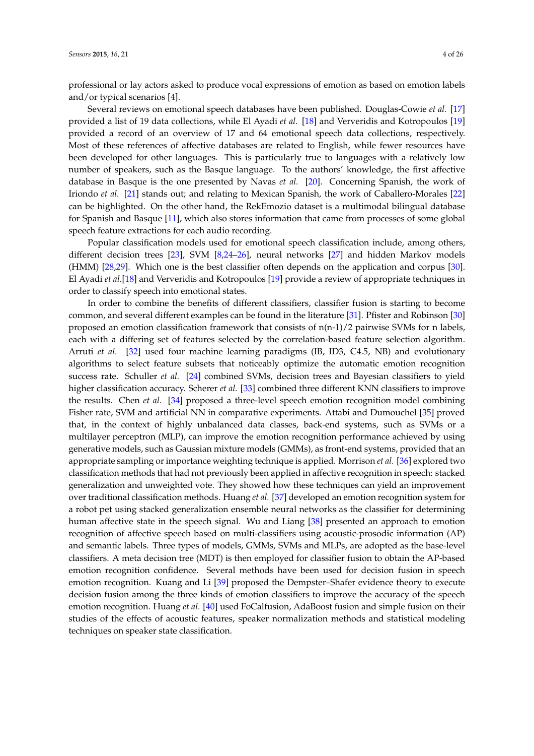professional or lay actors asked to produce vocal expressions of emotion as based on emotion labels and/or typical scenarios [\[4\]](#page-22-9).

Several reviews on emotional speech databases have been published. Douglas-Cowie *et al.* [\[17\]](#page-23-6) provided a list of 19 data collections, while El Ayadi *et al.* [\[18\]](#page-23-7) and Ververidis and Kotropoulos [\[19\]](#page-23-8) provided a record of an overview of 17 and 64 emotional speech data collections, respectively. Most of these references of affective databases are related to English, while fewer resources have been developed for other languages. This is particularly true to languages with a relatively low number of speakers, such as the Basque language. To the authors' knowledge, the first affective database in Basque is the one presented by Navas *et al.* [\[20\]](#page-23-9). Concerning Spanish, the work of Iriondo *et al.* [\[21\]](#page-23-10) stands out; and relating to Mexican Spanish, the work of Caballero-Morales [\[22\]](#page-23-11) can be highlighted. On the other hand, the RekEmozio dataset is a multimodal bilingual database for Spanish and Basque [\[11\]](#page-23-0), which also stores information that came from processes of some global speech feature extractions for each audio recording.

Popular classification models used for emotional speech classification include, among others, different decision trees [\[23\]](#page-23-12), SVM [\[8,](#page-22-6)[24–](#page-23-13)[26\]](#page-23-14), neural networks [\[27\]](#page-23-15) and hidden Markov models (HMM) [\[28,](#page-23-16)[29\]](#page-23-17). Which one is the best classifier often depends on the application and corpus [\[30\]](#page-23-18). El Ayadi *et al.*[\[18\]](#page-23-7) and Ververidis and Kotropoulos [\[19\]](#page-23-8) provide a review of appropriate techniques in order to classify speech into emotional states.

In order to combine the benefits of different classifiers, classifier fusion is starting to become common, and several different examples can be found in the literature [\[31\]](#page-23-19). Pfister and Robinson [\[30\]](#page-23-18) proposed an emotion classification framework that consists of n(n-1)/2 pairwise SVMs for n labels, each with a differing set of features selected by the correlation-based feature selection algorithm. Arruti *et al.* [\[32\]](#page-23-20) used four machine learning paradigms (IB, ID3, C4.5, NB) and evolutionary algorithms to select feature subsets that noticeably optimize the automatic emotion recognition success rate. Schuller *et al.* [\[24\]](#page-23-13) combined SVMs, decision trees and Bayesian classifiers to yield higher classification accuracy. Scherer *et al.* [\[33\]](#page-23-21) combined three different KNN classifiers to improve the results. Chen *et al.* [\[34\]](#page-24-0) proposed a three-level speech emotion recognition model combining Fisher rate, SVM and artificial NN in comparative experiments. Attabi and Dumouchel [\[35\]](#page-24-1) proved that, in the context of highly unbalanced data classes, back-end systems, such as SVMs or a multilayer perceptron (MLP), can improve the emotion recognition performance achieved by using generative models, such as Gaussian mixture models (GMMs), as front-end systems, provided that an appropriate sampling or importance weighting technique is applied. Morrison *et al.* [\[36\]](#page-24-2) explored two classification methods that had not previously been applied in affective recognition in speech: stacked generalization and unweighted vote. They showed how these techniques can yield an improvement over traditional classification methods. Huang *et al.* [\[37\]](#page-24-3) developed an emotion recognition system for a robot pet using stacked generalization ensemble neural networks as the classifier for determining human affective state in the speech signal. Wu and Liang [\[38\]](#page-24-4) presented an approach to emotion recognition of affective speech based on multi-classifiers using acoustic-prosodic information (AP) and semantic labels. Three types of models, GMMs, SVMs and MLPs, are adopted as the base-level classifiers. A meta decision tree (MDT) is then employed for classifier fusion to obtain the AP-based emotion recognition confidence. Several methods have been used for decision fusion in speech emotion recognition. Kuang and Li [\[39\]](#page-24-5) proposed the Dempster–Shafer evidence theory to execute decision fusion among the three kinds of emotion classifiers to improve the accuracy of the speech emotion recognition. Huang *et al.* [\[40\]](#page-24-6) used FoCalfusion, AdaBoost fusion and simple fusion on their studies of the effects of acoustic features, speaker normalization methods and statistical modeling techniques on speaker state classification.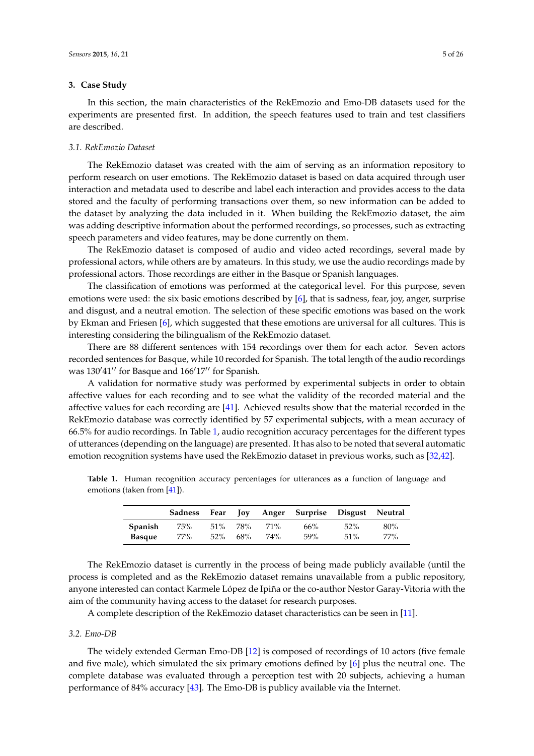#### **3. Case Study**

In this section, the main characteristics of the RekEmozio and Emo-DB datasets used for the experiments are presented first. In addition, the speech features used to train and test classifiers are described.

#### *3.1. RekEmozio Dataset*

The RekEmozio dataset was created with the aim of serving as an information repository to perform research on user emotions. The RekEmozio dataset is based on data acquired through user interaction and metadata used to describe and label each interaction and provides access to the data stored and the faculty of performing transactions over them, so new information can be added to the dataset by analyzing the data included in it. When building the RekEmozio dataset, the aim was adding descriptive information about the performed recordings, so processes, such as extracting speech parameters and video features, may be done currently on them.

The RekEmozio dataset is composed of audio and video acted recordings, several made by professional actors, while others are by amateurs. In this study, we use the audio recordings made by professional actors. Those recordings are either in the Basque or Spanish languages.

The classification of emotions was performed at the categorical level. For this purpose, seven emotions were used: the six basic emotions described by [\[6\]](#page-22-4), that is sadness, fear, joy, anger, surprise and disgust, and a neutral emotion. The selection of these specific emotions was based on the work by Ekman and Friesen [\[6\]](#page-22-4), which suggested that these emotions are universal for all cultures. This is interesting considering the bilingualism of the RekEmozio dataset.

There are 88 different sentences with 154 recordings over them for each actor. Seven actors recorded sentences for Basque, while 10 recorded for Spanish. The total length of the audio recordings was  $130'41''$  for Basque and  $166'17''$  for Spanish.

A validation for normative study was performed by experimental subjects in order to obtain affective values for each recording and to see what the validity of the recorded material and the affective values for each recording are [\[41\]](#page-24-7). Achieved results show that the material recorded in the RekEmozio database was correctly identified by 57 experimental subjects, with a mean accuracy of 66.5% for audio recordings. In Table [1,](#page-4-0) audio recognition accuracy percentages for the different types of utterances (depending on the language) are presented. It has also to be noted that several automatic emotion recognition systems have used the RekEmozio dataset in previous works, such as [\[32](#page-23-20)[,42\]](#page-24-8).

<span id="page-4-0"></span>**Table 1.** Human recognition accuracy percentages for utterances as a function of language and emotions (taken from [\[41\]](#page-24-7)).

|                | Sadness | Fear   |     |            | Joy Anger Surprise Disgust Neutral |        |        |
|----------------|---------|--------|-----|------------|------------------------------------|--------|--------|
| <b>Spanish</b> | 75%     | $51\%$ | 78% | <b>71%</b> | 66%                                | $52\%$ | $80\%$ |
| <b>Basque</b>  | 77%     | $52\%$ | 68% | 74%        | 59%                                | 51%    | 77%    |

The RekEmozio dataset is currently in the process of being made publicly available (until the process is completed and as the RekEmozio dataset remains unavailable from a public repository, anyone interested can contact Karmele López de Ipiña or the co-author Nestor Garay-Vitoria with the aim of the community having access to the dataset for research purposes.

A complete description of the RekEmozio dataset characteristics can be seen in [\[11\]](#page-23-0).

#### *3.2. Emo-DB*

The widely extended German Emo-DB [\[12\]](#page-23-1) is composed of recordings of 10 actors (five female and five male), which simulated the six primary emotions defined by [\[6\]](#page-22-4) plus the neutral one. The complete database was evaluated through a perception test with 20 subjects, achieving a human performance of 84% accuracy [\[43\]](#page-24-9). The Emo-DB is publicy available via the Internet.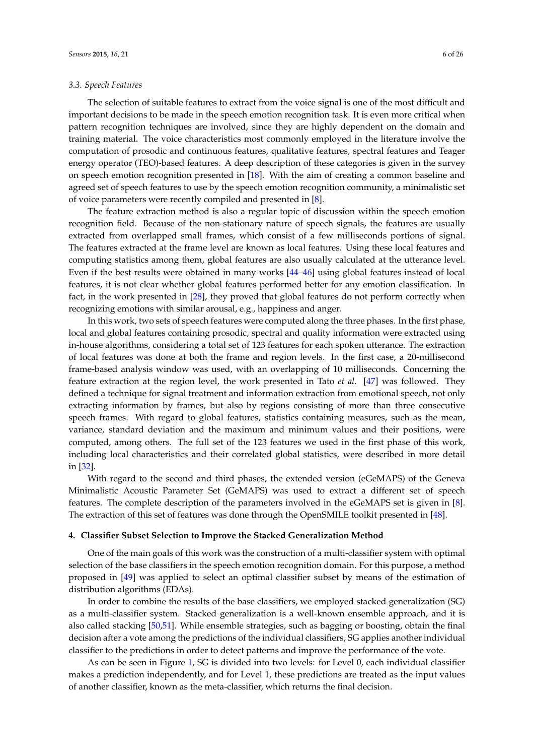#### *3.3. Speech Features*

The selection of suitable features to extract from the voice signal is one of the most difficult and important decisions to be made in the speech emotion recognition task. It is even more critical when pattern recognition techniques are involved, since they are highly dependent on the domain and training material. The voice characteristics most commonly employed in the literature involve the computation of prosodic and continuous features, qualitative features, spectral features and Teager energy operator (TEO)-based features. A deep description of these categories is given in the survey on speech emotion recognition presented in [\[18\]](#page-23-7). With the aim of creating a common baseline and agreed set of speech features to use by the speech emotion recognition community, a minimalistic set of voice parameters were recently compiled and presented in [\[8\]](#page-22-6).

The feature extraction method is also a regular topic of discussion within the speech emotion recognition field. Because of the non-stationary nature of speech signals, the features are usually extracted from overlapped small frames, which consist of a few milliseconds portions of signal. The features extracted at the frame level are known as local features. Using these local features and computing statistics among them, global features are also usually calculated at the utterance level. Even if the best results were obtained in many works [\[44–](#page-24-10)[46\]](#page-24-11) using global features instead of local features, it is not clear whether global features performed better for any emotion classification. In fact, in the work presented in [\[28\]](#page-23-16), they proved that global features do not perform correctly when recognizing emotions with similar arousal, e.g., happiness and anger.

In this work, two sets of speech features were computed along the three phases. In the first phase, local and global features containing prosodic, spectral and quality information were extracted using in-house algorithms, considering a total set of 123 features for each spoken utterance. The extraction of local features was done at both the frame and region levels. In the first case, a 20-millisecond frame-based analysis window was used, with an overlapping of 10 milliseconds. Concerning the feature extraction at the region level, the work presented in Tato *et al.* [\[47\]](#page-24-12) was followed. They defined a technique for signal treatment and information extraction from emotional speech, not only extracting information by frames, but also by regions consisting of more than three consecutive speech frames. With regard to global features, statistics containing measures, such as the mean, variance, standard deviation and the maximum and minimum values and their positions, were computed, among others. The full set of the 123 features we used in the first phase of this work, including local characteristics and their correlated global statistics, were described in more detail in [\[32\]](#page-23-20).

With regard to the second and third phases, the extended version (eGeMAPS) of the Geneva Minimalistic Acoustic Parameter Set (GeMAPS) was used to extract a different set of speech features. The complete description of the parameters involved in the eGeMAPS set is given in [\[8\]](#page-22-6). The extraction of this set of features was done through the OpenSMILE toolkit presented in [\[48\]](#page-24-13).

#### **4. Classifier Subset Selection to Improve the Stacked Generalization Method**

One of the main goals of this work was the construction of a multi-classifier system with optimal selection of the base classifiers in the speech emotion recognition domain. For this purpose, a method proposed in [\[49\]](#page-24-14) was applied to select an optimal classifier subset by means of the estimation of distribution algorithms (EDAs).

In order to combine the results of the base classifiers, we employed stacked generalization (SG) as a multi-classifier system. Stacked generalization is a well-known ensemble approach, and it is also called stacking [\[50,](#page-24-15)[51\]](#page-24-16). While ensemble strategies, such as bagging or boosting, obtain the final decision after a vote among the predictions of the individual classifiers, SG applies another individual classifier to the predictions in order to detect patterns and improve the performance of the vote.

As can be seen in Figure [1,](#page-6-0) SG is divided into two levels: for Level 0, each individual classifier makes a prediction independently, and for Level 1, these predictions are treated as the input values of another classifier, known as the meta-classifier, which returns the final decision.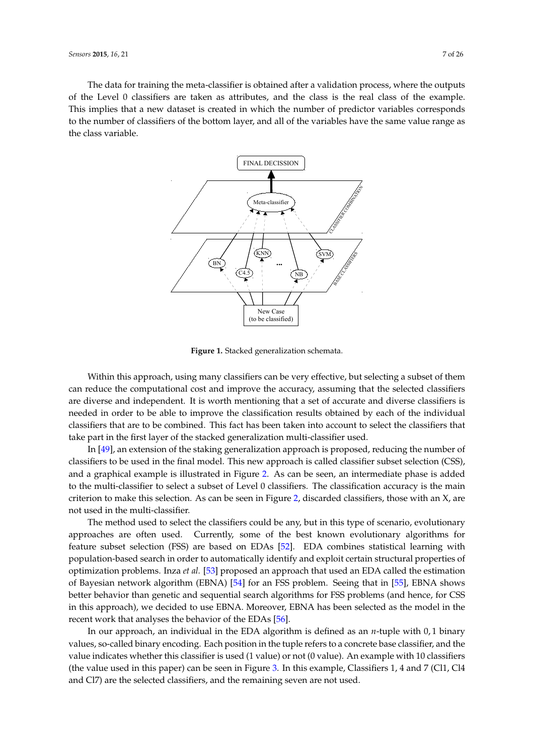<span id="page-6-0"></span>The data for training the meta-classifier is obtained after a validation process, where the outputs of the Level 0 classifiers are taken as attributes, and the class is the real class of the example. This implies that a new dataset is created in which the number of predictor variables corresponds to the number of classifiers of the bottom layer, and all of the variables have the same value range as the class variable.



**Figure 1.** Stacked generalization schemata.

Within this approach, using many classifiers can be very effective, but selecting a subset of them can reduce the computational cost and improve the accuracy, assuming that the selected classifiers are diverse and independent. It is worth mentioning that a set of accurate and diverse classifiers is needed in order to be able to improve the classification results obtained by each of the individual classifiers that are to be combined. This fact has been taken into account to select the classifiers that take part in the first layer of the stacked generalization multi-classifier used.

In [\[49\]](#page-24-14), an extension of the staking generalization approach is proposed, reducing the number of classifiers to be used in the final model. This new approach is called classifier subset selection (CSS), and a graphical example is illustrated in Figure [2.](#page-7-0) As can be seen, an intermediate phase is added to the multi-classifier to select a subset of Level 0 classifiers. The classification accuracy is the main criterion to make this selection. As can be seen in Figure [2,](#page-7-0) discarded classifiers, those with an  $X$ , are not used in the multi-classifier.

The method used to select the classifiers could be any, but in this type of scenario, evolutionary approaches are often used. Currently, some of the best known evolutionary algorithms for feature subset selection (FSS) are based on EDAs [\[52\]](#page-24-17). EDA combines statistical learning with population-based search in order to automatically identify and exploit certain structural properties of optimization problems. Inza *et al.* [\[53\]](#page-24-18) proposed an approach that used an EDA called the estimation of Bayesian network algorithm (EBNA) [\[54\]](#page-24-19) for an FSS problem. Seeing that in [\[55\]](#page-25-0), EBNA shows better behavior than genetic and sequential search algorithms for FSS problems (and hence, for CSS in this approach), we decided to use EBNA. Moreover, EBNA has been selected as the model in the recent work that analyses the behavior of the EDAs [\[56\]](#page-25-1).

In our approach, an individual in the EDA algorithm is defined as an *n*-tuple with 0, 1 binary values, so-called binary encoding. Each position in the tuple refers to a concrete base classifier, and the value indicates whether this classifier is used (1 value) or not (0 value). An example with 10 classifiers (the value used in this paper) can be seen in Figure [3.](#page-7-1) In this example, Classifiers 1, 4 and 7 (Cl1, Cl4 and Cl7) are the selected classifiers, and the remaining seven are not used.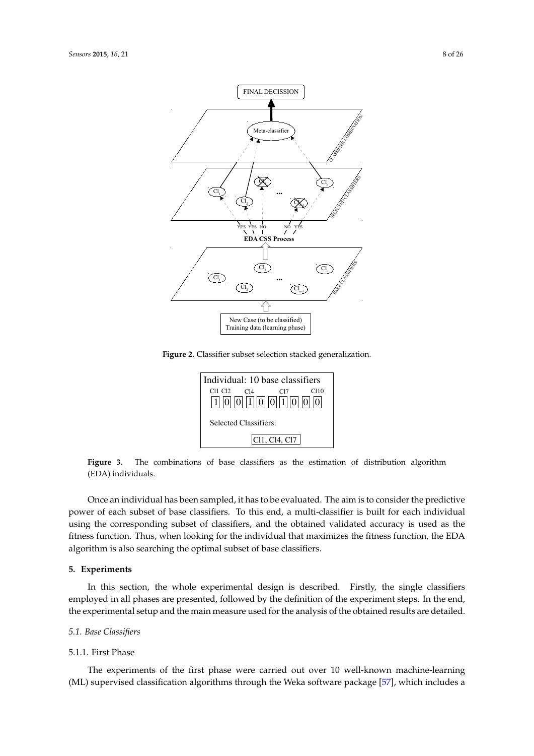<span id="page-7-0"></span>

**Figure 2.** Classifier subset selection stacked generalization.



<span id="page-7-1"></span>**Figure 3.** The combinations of base classifiers as the estimation of distribution algorithm (EDA) individuals.

Once an individual has been sampled, it has to be evaluated. The aim is to consider the predictive power of each subset of base classifiers. To this end, a multi-classifier is built for each individual using the corresponding subset of classifiers, and the obtained validated accuracy is used as the fitness function. Thus, when looking for the individual that maximizes the fitness function, the EDA algorithm is also searching the optimal subset of base classifiers.

#### **5. Experiments**

In this section, the whole experimental design is described. Firstly, the single classifiers employed in all phases are presented, followed by the definition of the experiment steps. In the end, the experimental setup and the main measure used for the analysis of the obtained results are detailed.

## *5.1. Base Classifiers*

#### 5.1.1. First Phase

The experiments of the first phase were carried out over 10 well-known machine-learning (ML) supervised classification algorithms through the Weka software package [\[57\]](#page-25-2), which includes a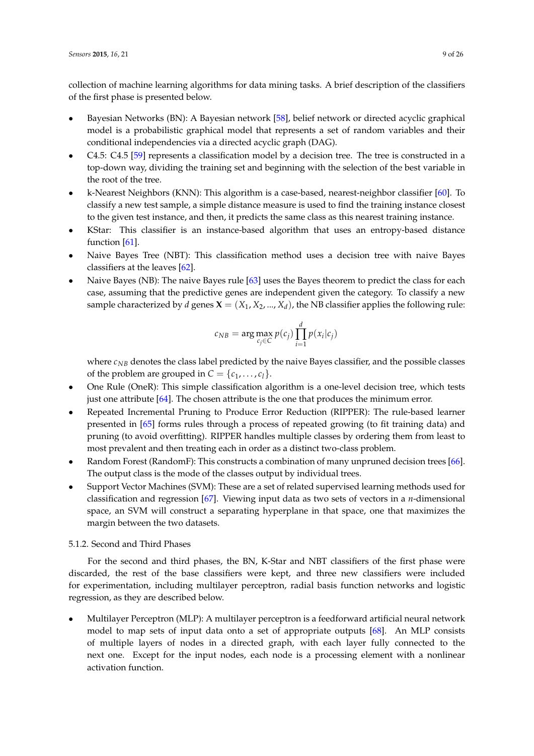collection of machine learning algorithms for data mining tasks. A brief description of the classifiers of the first phase is presented below.

- Bayesian Networks (BN): A Bayesian network [\[58\]](#page-25-3), belief network or directed acyclic graphical model is a probabilistic graphical model that represents a set of random variables and their conditional independencies via a directed acyclic graph (DAG).
- C4.5: C4.5 [\[59\]](#page-25-4) represents a classification model by a decision tree. The tree is constructed in a top-down way, dividing the training set and beginning with the selection of the best variable in the root of the tree.
- k-Nearest Neighbors (KNN): This algorithm is a case-based, nearest-neighbor classifier [\[60\]](#page-25-5). To classify a new test sample, a simple distance measure is used to find the training instance closest to the given test instance, and then, it predicts the same class as this nearest training instance.
- KStar: This classifier is an instance-based algorithm that uses an entropy-based distance function [\[61\]](#page-25-6).
- Naive Bayes Tree (NBT): This classification method uses a decision tree with naive Bayes classifiers at the leaves [\[62\]](#page-25-7).
- Naive Bayes (NB): The naive Bayes rule [\[63\]](#page-25-8) uses the Bayes theorem to predict the class for each case, assuming that the predictive genes are independent given the category. To classify a new sample characterized by *d* genes  $\mathbf{X} = (X_1, X_2, ..., X_d)$ , the NB classifier applies the following rule:

$$
c_{NB} = \arg\max_{c_j \in C} p(c_j) \prod_{i=1}^d p(x_i | c_j)
$$

where  $c_{NB}$  denotes the class label predicted by the naive Bayes classifier, and the possible classes of the problem are grouped in  $C = \{c_1, \ldots, c_l\}.$ 

- One Rule (OneR): This simple classification algorithm is a one-level decision tree, which tests just one attribute [\[64\]](#page-25-9). The chosen attribute is the one that produces the minimum error.
- Repeated Incremental Pruning to Produce Error Reduction (RIPPER): The rule-based learner presented in [\[65\]](#page-25-10) forms rules through a process of repeated growing (to fit training data) and pruning (to avoid overfitting). RIPPER handles multiple classes by ordering them from least to most prevalent and then treating each in order as a distinct two-class problem.
- Random Forest (RandomF): This constructs a combination of many unpruned decision trees [\[66\]](#page-25-11). The output class is the mode of the classes output by individual trees.
- Support Vector Machines (SVM): These are a set of related supervised learning methods used for classification and regression [\[67\]](#page-25-12). Viewing input data as two sets of vectors in a *n*-dimensional space, an SVM will construct a separating hyperplane in that space, one that maximizes the margin between the two datasets.

#### 5.1.2. Second and Third Phases

For the second and third phases, the BN, K-Star and NBT classifiers of the first phase were discarded, the rest of the base classifiers were kept, and three new classifiers were included for experimentation, including multilayer perceptron, radial basis function networks and logistic regression, as they are described below.

• Multilayer Perceptron (MLP): A multilayer perceptron is a feedforward artificial neural network model to map sets of input data onto a set of appropriate outputs [\[68\]](#page-25-13). An MLP consists of multiple layers of nodes in a directed graph, with each layer fully connected to the next one. Except for the input nodes, each node is a processing element with a nonlinear activation function.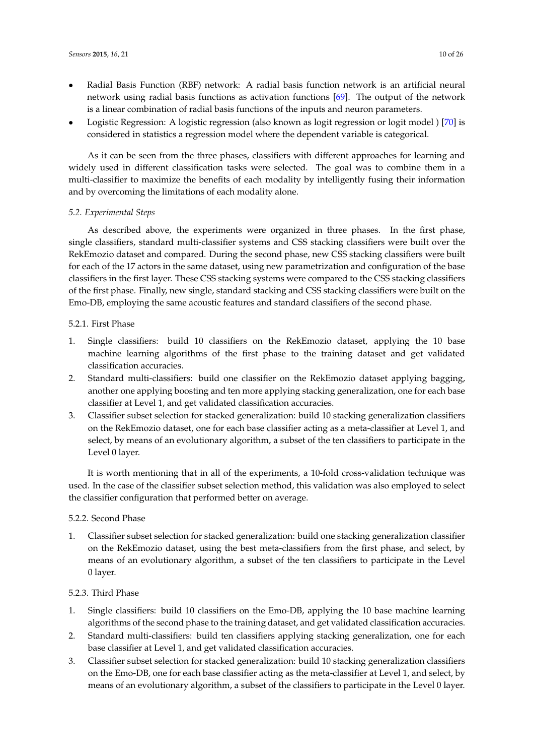- Radial Basis Function (RBF) network: A radial basis function network is an artificial neural network using radial basis functions as activation functions [\[69\]](#page-25-14). The output of the network is a linear combination of radial basis functions of the inputs and neuron parameters.
- Logistic Regression: A logistic regression (also known as logit regression or logit model ) [\[70\]](#page-25-15) is considered in statistics a regression model where the dependent variable is categorical.

As it can be seen from the three phases, classifiers with different approaches for learning and widely used in different classification tasks were selected. The goal was to combine them in a multi-classifier to maximize the benefits of each modality by intelligently fusing their information and by overcoming the limitations of each modality alone.

## *5.2. Experimental Steps*

As described above, the experiments were organized in three phases. In the first phase, single classifiers, standard multi-classifier systems and CSS stacking classifiers were built over the RekEmozio dataset and compared. During the second phase, new CSS stacking classifiers were built for each of the 17 actors in the same dataset, using new parametrization and configuration of the base classifiers in the first layer. These CSS stacking systems were compared to the CSS stacking classifiers of the first phase. Finally, new single, standard stacking and CSS stacking classifiers were built on the Emo-DB, employing the same acoustic features and standard classifiers of the second phase.

#### 5.2.1. First Phase

- 1. Single classifiers: build 10 classifiers on the RekEmozio dataset, applying the 10 base machine learning algorithms of the first phase to the training dataset and get validated classification accuracies.
- 2. Standard multi-classifiers: build one classifier on the RekEmozio dataset applying bagging, another one applying boosting and ten more applying stacking generalization, one for each base classifier at Level 1, and get validated classification accuracies.
- 3. Classifier subset selection for stacked generalization: build 10 stacking generalization classifiers on the RekEmozio dataset, one for each base classifier acting as a meta-classifier at Level 1, and select, by means of an evolutionary algorithm, a subset of the ten classifiers to participate in the Level 0 layer.

It is worth mentioning that in all of the experiments, a 10-fold cross-validation technique was used. In the case of the classifier subset selection method, this validation was also employed to select the classifier configuration that performed better on average.

#### 5.2.2. Second Phase

1. Classifier subset selection for stacked generalization: build one stacking generalization classifier on the RekEmozio dataset, using the best meta-classifiers from the first phase, and select, by means of an evolutionary algorithm, a subset of the ten classifiers to participate in the Level 0 layer.

## 5.2.3. Third Phase

- 1. Single classifiers: build 10 classifiers on the Emo-DB, applying the 10 base machine learning algorithms of the second phase to the training dataset, and get validated classification accuracies.
- 2. Standard multi-classifiers: build ten classifiers applying stacking generalization, one for each base classifier at Level 1, and get validated classification accuracies.
- 3. Classifier subset selection for stacked generalization: build 10 stacking generalization classifiers on the Emo-DB, one for each base classifier acting as the meta-classifier at Level 1, and select, by means of an evolutionary algorithm, a subset of the classifiers to participate in the Level 0 layer.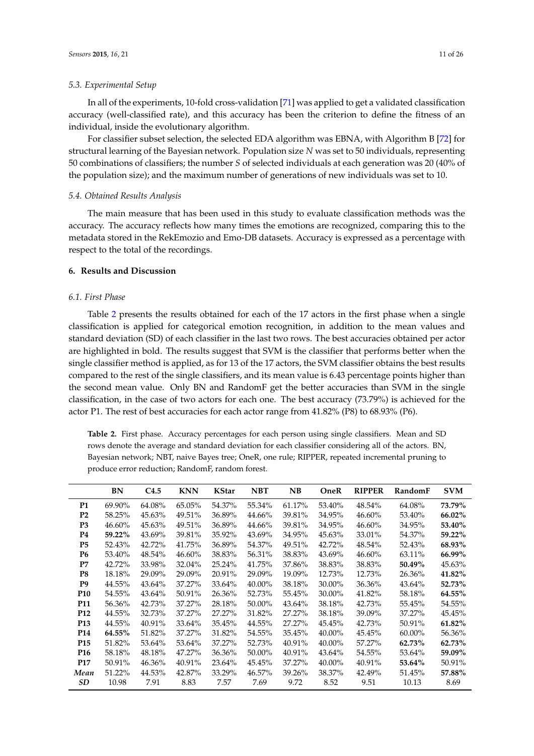In all of the experiments, 10-fold cross-validation [\[71\]](#page-25-16) was applied to get a validated classification accuracy (well-classified rate), and this accuracy has been the criterion to define the fitness of an individual, inside the evolutionary algorithm.

For classifier subset selection, the selected EDA algorithm was EBNA, with Algorithm B [\[72\]](#page-25-17) for structural learning of the Bayesian network. Population size *N* was set to 50 individuals, representing 50 combinations of classifiers; the number *S* of selected individuals at each generation was 20 (40% of the population size); and the maximum number of generations of new individuals was set to 10.

#### *5.4. Obtained Results Analysis*

The main measure that has been used in this study to evaluate classification methods was the accuracy. The accuracy reflects how many times the emotions are recognized, comparing this to the metadata stored in the RekEmozio and Emo-DB datasets. Accuracy is expressed as a percentage with respect to the total of the recordings.

## **6. Results and Discussion**

#### *6.1. First Phase*

Table [2](#page-10-0) presents the results obtained for each of the 17 actors in the first phase when a single classification is applied for categorical emotion recognition, in addition to the mean values and standard deviation (SD) of each classifier in the last two rows. The best accuracies obtained per actor are highlighted in bold. The results suggest that SVM is the classifier that performs better when the single classifier method is applied, as for 13 of the 17 actors, the SVM classifier obtains the best results compared to the rest of the single classifiers, and its mean value is 6.43 percentage points higher than the second mean value. Only BN and RandomF get the better accuracies than SVM in the single classification, in the case of two actors for each one. The best accuracy (73.79%) is achieved for the actor P1. The rest of best accuracies for each actor range from 41.82% (P8) to 68.93% (P6).

<span id="page-10-0"></span>**Table 2.** First phase. Accuracy percentages for each person using single classifiers. Mean and SD rows denote the average and standard deviation for each classifier considering all of the actors. BN, Bayesian network; NBT, naive Bayes tree; OneR, one rule; RIPPER, repeated incremental pruning to produce error reduction; RandomF, random forest.

|                 | BN     | C4.5   | <b>KNN</b> | <b>KStar</b> | <b>NBT</b> | <b>NB</b> | OneR   | <b>RIPPER</b> | RandomF | <b>SVM</b> |
|-----------------|--------|--------|------------|--------------|------------|-----------|--------|---------------|---------|------------|
| <b>P1</b>       | 69.90% | 64.08% | 65.05%     | 54.37%       | 55.34%     | 61.17%    | 53.40% | 48.54%        | 64.08%  | 73.79%     |
| P <sub>2</sub>  | 58.25% | 45.63% | 49.51%     | 36.89%       | 44.66%     | 39.81%    | 34.95% | 46.60%        | 53.40%  | 66.02%     |
| P <sub>3</sub>  | 46.60% | 45.63% | 49.51%     | 36.89%       | 44.66%     | 39.81%    | 34.95% | 46.60%        | 34.95%  | 53.40%     |
| P4              | 59.22% | 43.69% | 39.81%     | 35.92%       | 43.69%     | 34.95%    | 45.63% | 33.01%        | 54.37%  | 59.22%     |
| P <sub>5</sub>  | 52.43% | 42.72% | 41.75%     | 36.89%       | 54.37%     | 49.51%    | 42.72% | 48.54%        | 52.43%  | 68.93%     |
| <b>P6</b>       | 53.40% | 48.54% | 46.60%     | 38.83%       | 56.31%     | 38.83%    | 43.69% | 46.60%        | 63.11%  | 66.99%     |
| P7              | 42.72% | 33.98% | 32.04%     | 25.24%       | 41.75%     | 37.86%    | 38.83% | 38.83%        | 50.49%  | 45.63%     |
| P8              | 18.18% | 29.09% | 29.09%     | 20.91%       | 29.09%     | 19.09%    | 12.73% | 12.73%        | 26.36%  | 41.82%     |
| P9              | 44.55% | 43.64% | 37.27%     | 33.64%       | 40.00%     | 38.18%    | 30.00% | 36.36%        | 43.64%  | 52.73%     |
| P <sub>10</sub> | 54.55% | 43.64% | 50.91%     | 26.36%       | 52.73%     | 55.45%    | 30.00% | 41.82%        | 58.18%  | 64.55%     |
| <b>P11</b>      | 56.36% | 42.73% | 37.27%     | 28.18%       | 50.00%     | 43.64%    | 38.18% | 42.73%        | 55.45%  | 54.55%     |
| P <sub>12</sub> | 44.55% | 32.73% | 37.27%     | 27.27%       | 31.82%     | 27.27%    | 38.18% | 39.09%        | 37.27%  | 45.45%     |
| P <sub>13</sub> | 44.55% | 40.91% | 33.64%     | 35.45%       | 44.55%     | 27.27%    | 45.45% | 42.73%        | 50.91%  | 61.82%     |
| P <sub>14</sub> | 64.55% | 51.82% | 37.27%     | 31.82%       | 54.55%     | 35.45%    | 40.00% | 45.45%        | 60.00%  | 56.36%     |
| P <sub>15</sub> | 51.82% | 53.64% | 53.64%     | 37.27%       | 52.73%     | 40.91%    | 40.00% | 57.27%        | 62.73%  | 62.73%     |
| P <sub>16</sub> | 58.18% | 48.18% | 47.27%     | 36.36%       | 50.00%     | 40.91%    | 43.64% | 54.55%        | 53.64%  | 59.09%     |
| <b>P17</b>      | 50.91% | 46.36% | 40.91%     | 23.64%       | 45.45%     | 37.27%    | 40.00% | 40.91%        | 53.64%  | 50.91%     |
| Mean            | 51.22% | 44.53% | 42.87%     | 33.29%       | 46.57%     | 39.26%    | 38.37% | 42.49%        | 51.45%  | 57.88%     |
| <b>SD</b>       | 10.98  | 7.91   | 8.83       | 7.57         | 7.69       | 9.72      | 8.52   | 9.51          | 10.13   | 8.69       |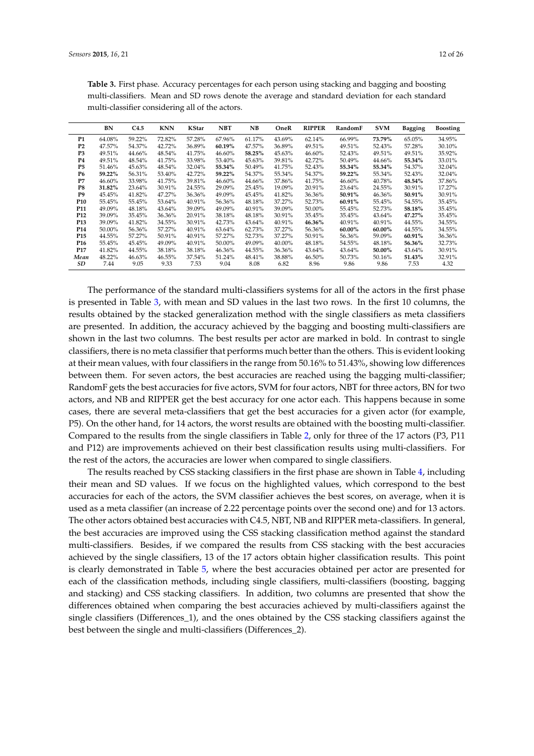|                 | BN     | C4.5   | <b>KNN</b> | KStar  | <b>NBT</b> | NB     | OneR   | <b>RIPPER</b> | RandomF | <b>SVM</b> | <b>Bagging</b> | <b>Boosting</b> |
|-----------------|--------|--------|------------|--------|------------|--------|--------|---------------|---------|------------|----------------|-----------------|
| <b>P1</b>       | 64.08% | 59.22% | 72.82%     | 57.28% | 67.96%     | 61.17% | 43.69% | 62.14%        | 66.99%  | 73.79%     | 65.05%         | 34.95%          |
| P <sub>2</sub>  | 47.57% | 54.37% | 42.72%     | 36.89% | 60.19%     | 47.57% | 36.89% | 49.51%        | 49.51%  | 52.43%     | 57.28%         | 30.10%          |
| P <sub>3</sub>  | 49.51% | 44.66% | 48.54%     | 41.75% | 46.60%     | 58.25% | 45.63% | 46.60%        | 52.43%  | 49.51%     | 49.51%         | 35.92%          |
| <b>P4</b>       | 49.51% | 48.54% | 41.75%     | 33.98% | 53.40%     | 45.63% | 39.81% | 42.72%        | 50.49%  | 44.66%     | 55.34%         | 33.01%          |
| P <sub>5</sub>  | 51.46% | 45.63% | 48.54%     | 32.04% | 55.34%     | 50.49% | 41.75% | 52.43%        | 55.34%  | 55.34%     | 54.37%         | 32.04%          |
| <b>P6</b>       | 59.22% | 56.31% | 53.40%     | 42.72% | 59.22%     | 54.37% | 55.34% | 54.37%        | 59.22%  | 55.34%     | 52.43%         | 32.04%          |
| P7              | 46.60% | 33.98% | 41.75%     | 39.81% | 46.60%     | 44.66% | 37.86% | 41.75%        | 46.60%  | 40.78%     | 48.54%         | 37.86%          |
| P8              | 31.82% | 23.64% | 30.91%     | 24.55% | 29.09%     | 25.45% | 19.09% | 20.91%        | 23.64%  | 24.55%     | 30.91%         | 17.27%          |
| P9              | 45.45% | 41.82% | 47.27%     | 36.36% | 49.09%     | 45.45% | 41.82% | 36.36%        | 50.91%  | 46.36%     | 50.91%         | 30.91%          |
| P <sub>10</sub> | 55.45% | 55.45% | 53.64%     | 40.91% | 56.36%     | 48.18% | 37.27% | 52.73%        | 60.91%  | 55.45%     | 54.55%         | 35.45%          |
| P <sub>11</sub> | 49.09% | 48.18% | 43.64%     | 39.09% | 49.09%     | 40.91% | 39.09% | 50.00%        | 55.45%  | 52.73%     | 58.18%         | 35.45%          |
| P <sub>12</sub> | 39.09% | 35.45% | 36.36%     | 20.91% | 38.18%     | 48.18% | 30.91% | 35.45%        | 35.45%  | 43.64%     | 47.27%         | 35.45%          |
| P <sub>13</sub> | 39.09% | 41.82% | 34.55%     | 30.91% | 42.73%     | 43.64% | 40.91% | 46.36%        | 40.91%  | 40.91%     | 44.55%         | 34.55%          |
| P <sub>14</sub> | 50.00% | 56.36% | 57.27%     | 40.91% | 63.64%     | 62.73% | 37.27% | 56.36%        | 60.00%  | 60.00%     | 44.55%         | 34.55%          |
| P <sub>15</sub> | 44.55% | 57.27% | 50.91%     | 40.91% | 57.27%     | 52.73% | 37.27% | 50.91%        | 56.36%  | 59.09%     | 60.91%         | 36.36%          |
| P <sub>16</sub> | 55.45% | 45.45% | 49.09%     | 40.91% | 50.00%     | 49.09% | 40.00% | 48.18%        | 54.55%  | 48.18%     | 56.36%         | 32.73%          |
| P <sub>17</sub> | 41.82% | 44.55% | 38.18%     | 38.18% | 46.36%     | 44.55% | 36.36% | 43.64%        | 43.64%  | 50.00%     | 43.64%         | 30.91%          |
| Mean            | 48.22% | 46.63% | 46.55%     | 37.54% | 51.24%     | 48.41% | 38.88% | 46.50%        | 50.73%  | 50.16%     | 51.43%         | 32.91%          |
| SD              | 7.44   | 9.05   | 9.33       | 7.53   | 9.04       | 8.08   | 6.82   | 8.96          | 9.86    | 9.86       | 7.53           | 4.32            |

<span id="page-11-0"></span>**Table 3.** First phase. Accuracy percentages for each person using stacking and bagging and boosting multi-classifiers. Mean and SD rows denote the average and standard deviation for each standard multi-classifier considering all of the actors.

The performance of the standard multi-classifiers systems for all of the actors in the first phase is presented in Table [3,](#page-11-0) with mean and SD values in the last two rows. In the first 10 columns, the results obtained by the stacked generalization method with the single classifiers as meta classifiers are presented. In addition, the accuracy achieved by the bagging and boosting multi-classifiers are shown in the last two columns. The best results per actor are marked in bold. In contrast to single classifiers, there is no meta classifier that performs much better than the others. This is evident looking at their mean values, with four classifiers in the range from 50.16% to 51.43%, showing low differences between them. For seven actors, the best accuracies are reached using the bagging multi-classifier; RandomF gets the best accuracies for five actors, SVM for four actors, NBT for three actors, BN for two actors, and NB and RIPPER get the best accuracy for one actor each. This happens because in some cases, there are several meta-classifiers that get the best accuracies for a given actor (for example, P5). On the other hand, for 14 actors, the worst results are obtained with the boosting multi-classifier. Compared to the results from the single classifiers in Table [2,](#page-10-0) only for three of the 17 actors (P3, P11 and P12) are improvements achieved on their best classification results using multi-classifiers. For the rest of the actors, the accuracies are lower when compared to single classifiers.

The results reached by CSS stacking classifiers in the first phase are shown in Table [4,](#page-12-0) including their mean and SD values. If we focus on the highlighted values, which correspond to the best accuracies for each of the actors, the SVM classifier achieves the best scores, on average, when it is used as a meta classifier (an increase of 2.22 percentage points over the second one) and for 13 actors. The other actors obtained best accuracies with C4.5, NBT, NB and RIPPER meta-classifiers. In general, the best accuracies are improved using the CSS stacking classification method against the standard multi-classifiers. Besides, if we compared the results from CSS stacking with the best accuracies achieved by the single classifiers, 13 of the 17 actors obtain higher classification results. This point is clearly demonstrated in Table [5,](#page-12-1) where the best accuracies obtained per actor are presented for each of the classification methods, including single classifiers, multi-classifiers (boosting, bagging and stacking) and CSS stacking classifiers. In addition, two columns are presented that show the differences obtained when comparing the best accuracies achieved by multi-classifiers against the single classifiers (Differences\_1), and the ones obtained by the CSS stacking classifiers against the best between the single and multi-classifiers (Differences\_2).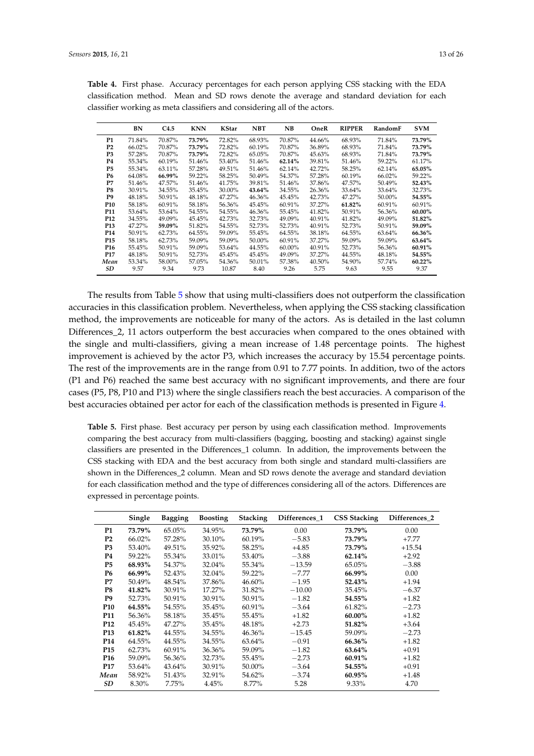| BN     | C <sub>4.5</sub> | <b>KNN</b> | <b>KStar</b> | <b>NBT</b> | NB     | OneR   | <b>RIPPER</b> | RandomF | <b>SVM</b> |
|--------|------------------|------------|--------------|------------|--------|--------|---------------|---------|------------|
| 71.84% | 70.87%           | 73.79%     | 72.82%       | 68.93%     | 70.87% | 44.66% | 68.93%        | 71.84%  | 73.79%     |
| 66.02% | 70.87%           | 73.79%     | 72.82%       | 60.19%     | 70.87% | 36.89% | 68.93%        | 71.84%  | 73.79%     |
| 57.28% | 70.87%           | 73.79%     | 72.82%       | 65.05%     | 70.87% | 45.63% | 68.93%        | 71.84%  | 73.79%     |
| 55.34% | 60.19%           | 51.46%     | 53.40%       | 51.46%     | 62.14% | 39.81% | 51.46%        | 59.22%  | 61.17%     |
| 55.34% | 63.11%           | 57.28%     | 49.51%       | 51.46%     | 62.14% | 42.72% | 58.25%        | 62.14%  | 65.05%     |
| 64.08% | 66.99%           | 59.22%     | 58.25%       | 50.49%     | 54.37% | 57.28% | 60.19%        | 66.02%  | 59.22%     |
| 51.46% | 47.57%           | 51.46%     | 41.75%       | 39.81%     | 51.46% | 37.86% | 47.57%        | 50.49%  | 52.43%     |
| 30.91% | 34.55%           | 35.45%     | 30.00%       | 43.64%     | 34.55% | 26.36% | 33.64%        | 33.64%  | 32.73%     |
| 48.18% | 50.91%           | 48.18%     | 47.27%       | 46.36%     | 45.45% | 42.73% | 47.27%        | 50.00%  | 54.55%     |
| 58.18% | 60.91%           | 58.18%     | 56.36%       | 45.45%     | 60.91% | 37.27% | 61.82%        | 60.91%  | 60.91%     |
| 53.64% | 53.64%           | 54.55%     | 54.55%       | 46.36%     | 55.45% | 41.82% | 50.91%        | 56.36%  | 60.00%     |
| 34.55% | 49.09%           | 45.45%     | 42.73%       | 32.73%     | 49.09% | 40.91% | 41.82%        | 49.09%  | 51.82%     |
| 47.27% | 59.09%           | 51.82%     | 54.55%       | 52.73%     | 52.73% | 40.91% | 52.73%        | 50.91%  | 59.09%     |
| 50.91% | 62.73%           | 64.55%     | 59.09%       | 55.45%     | 64.55% | 38.18% | 64.55%        | 63.64%  | 66.36%     |
| 58.18% | 62.73%           | 59.09%     | 59.09%       | 50.00%     | 60.91% | 37.27% | 59.09%        | 59.09%  | 63.64%     |
| 55.45% | 50.91%           | 59.09%     | 53.64%       | 44.55%     | 60.00% | 40.91% | 52.73%        | 56.36%  | 60.91%     |
| 48.18% | 50.91%           | 52.73%     | 45.45%       | 45.45%     | 49.09% | 37.27% | 44.55%        | 48.18%  | 54.55%     |
| 53.34% | 58.00%           | 57.05%     | 54.36%       | 50.01%     | 57.38% | 40.50% | 54.90%        | 57.74%  | 60.22%     |
| 9.57   | 9.34             | 9.73       | 10.87        | 8.40       | 9.26   | 5.75   | 9.63          | 9.55    | 9.37       |
|        |                  |            |              |            |        |        |               |         |            |

<span id="page-12-0"></span>**Table 4.** First phase. Accuracy percentages for each person applying CSS stacking with the EDA classification method. Mean and SD rows denote the average and standard deviation for each classifier working as meta classifiers and considering all of the actors.

The results from Table [5](#page-12-1) show that using multi-classifiers does not outperform the classification accuracies in this classification problem. Nevertheless, when applying the CSS stacking classification method, the improvements are noticeable for many of the actors. As is detailed in the last column Differences<sub>2</sub>, 11 actors outperform the best accuracies when compared to the ones obtained with the single and multi-classifiers, giving a mean increase of 1.48 percentage points. The highest improvement is achieved by the actor P3, which increases the accuracy by 15.54 percentage points. The rest of the improvements are in the range from 0.91 to 7.77 points. In addition, two of the actors (P1 and P6) reached the same best accuracy with no significant improvements, and there are four cases (P5, P8, P10 and P13) where the single classifiers reach the best accuracies. A comparison of the best accuracies obtained per actor for each of the classification methods is presented in Figure [4.](#page-13-0)

<span id="page-12-1"></span>**Table 5.** First phase. Best accuracy per person by using each classification method. Improvements comparing the best accuracy from multi-classifiers (bagging, boosting and stacking) against single classifiers are presented in the Differences\_1 column. In addition, the improvements between the CSS stacking with EDA and the best accuracy from both single and standard multi-classifiers are shown in the Differences 2 column. Mean and SD rows denote the average and standard deviation for each classification method and the type of differences considering all of the actors. Differences are expressed in percentage points.

|                 | Single | <b>Bagging</b> | <b>Boosting</b> | <b>Stacking</b> | Differences 1 | <b>CSS Stacking</b> | Differences_2 |
|-----------------|--------|----------------|-----------------|-----------------|---------------|---------------------|---------------|
| <b>P1</b>       | 73.79% | 65.05%         | 34.95%          | 73.79%          | 0.00          | 73.79%              | 0.00          |
| P <sub>2</sub>  | 66.02% | 57.28%         | 30.10%          | 60.19%          | $-5.83$       | 73.79%              | $+7.77$       |
| P <sub>3</sub>  | 53.40% | 49.51%         | 35.92%          | 58.25%          | $+4.85$       | 73.79%              | $+15.54$      |
| P4              | 59.22% | 55.34%         | 33.01%          | 53.40%          | $-3.88$       | 62.14%              | $+2.92$       |
| P5              | 68.93% | 54.37%         | 32.04%          | 55.34%          | $-13.59$      | 65.05%              | $-3.88$       |
| <b>P6</b>       | 66.99% | 52.43%         | 32.04%          | 59.22%          | $-7.77$       | 66.99%              | 0.00          |
| P7              | 50.49% | 48.54%         | 37.86%          | 46.60%          | $-1.95$       | 52.43%              | $+1.94$       |
| P8              | 41.82% | 30.91%         | 17.27%          | 31.82%          | $-10.00$      | 35.45%              | $-6.37$       |
| P9              | 52.73% | 50.91%         | 30.91%          | 50.91%          | $-1.82$       | 54.55%              | $+1.82$       |
| <b>P10</b>      | 64.55% | 54.55%         | 35.45%          | 60.91%          | $-3.64$       | 61.82%              | $-2.73$       |
| <b>P11</b>      | 56.36% | 58.18%         | 35.45%          | 55.45%          | $+1.82$       | 60.00%              | $+1.82$       |
| <b>P12</b>      | 45.45% | 47.27%         | 35.45%          | 48.18%          | $+2.73$       | 51.82%              | $+3.64$       |
| P <sub>13</sub> | 61.82% | 44.55%         | 34.55%          | 46.36%          | $-15.45$      | 59.09%              | $-2.73$       |
| P <sub>14</sub> | 64.55% | 44.55%         | 34.55%          | 63.64%          | $-0.91$       | 66.36%              | $+1.82$       |
| P <sub>15</sub> | 62.73% | 60.91%         | 36.36%          | 59.09%          | $-1.82$       | 63.64%              | $+0.91$       |
| P <sub>16</sub> | 59.09% | 56.36%         | 32.73%          | 55.45%          | $-2.73$       | 60.91%              | $+1.82$       |
| <b>P17</b>      | 53.64% | 43.64%         | 30.91%          | 50.00%          | $-3.64$       | 54.55%              | $+0.91$       |
| Mean            | 58.92% | 51.43%         | 32.91%          | 54.62%          | $-3.74$       | 60.95%              | $+1.48$       |
| SD              | 8.30%  | 7.75%          | 4.45%           | 8.77%           | 5.28          | 9.33%               | 4.70          |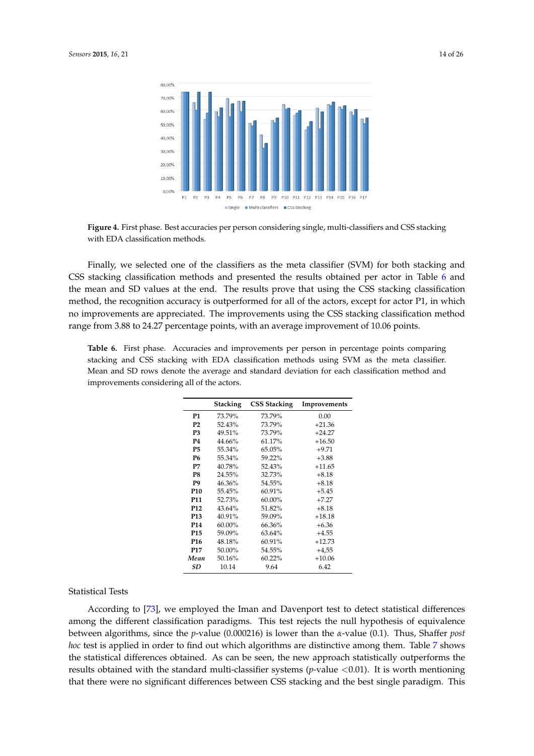<span id="page-13-0"></span>

**Figure 4.** First phase. Best accuracies per person considering single, multi-classifiers and CSS stacking with EDA classification methods.

Finally, we selected one of the classifiers as the meta classifier (SVM) for both stacking and CSS stacking classification methods and presented the results obtained per actor in Table [6](#page-13-1) and the mean and SD values at the end. The results prove that using the CSS stacking classification method, the recognition accuracy is outperformed for all of the actors, except for actor P1, in which no improvements are appreciated. The improvements using the CSS stacking classification method range from 3.88 to 24.27 percentage points, with an average improvement of 10.06 points.

<span id="page-13-1"></span>**Table 6.** First phase. Accuracies and improvements per person in percentage points comparing stacking and CSS stacking with EDA classification methods using SVM as the meta classifier. Mean and SD rows denote the average and standard deviation for each classification method and improvements considering all of the actors.

|                 | Stacking  | <b>CSS Stacking</b> | Improvements |
|-----------------|-----------|---------------------|--------------|
| P1              | 73.79%    | 73.79%              | 0.00         |
| P <sub>2</sub>  | 52.43%    | 73.79%              | $+21.36$     |
| P3              | 49.51%    | 73.79%              | $+24.27$     |
| <b>P4</b>       | 44.66%    | 61.17%              | $+16.50$     |
| P5              | 55.34%    | 65.05%              | $+9.71$      |
| P6              | 55.34%    | 59.22%              | $+3.88$      |
| P7              | 40.78%    | 52.43%              | $+11.65$     |
| P8              | 24.55%    | 32.73%              | $+8.18$      |
| P <sub>9</sub>  | 46.36%    | 54.55%              | $+8.18$      |
| P <sub>10</sub> | 55.45%    | $60.91\%$           | $+5.45$      |
| <b>P11</b>      | 52.73%    | 60.00%              | $+7.27$      |
| <b>P12</b>      | $43.64\%$ | 51.82%              | $+8.18$      |
| P <sub>13</sub> | 40.91%    | 59.09%              | $+18.18$     |
| P <sub>14</sub> | 60.00%    | 66.36%              | $+6.36$      |
| P <sub>15</sub> | 59.09%    | 63.64%              | $+4.55$      |
| P <sub>16</sub> | 48.18%    | 60.91%              | $+12.73$     |
| P <sub>17</sub> | 50.00%    | 54.55%              | $+4,55$      |
| Mean            | 50.16%    | 60.22%              | $+10.06$     |
| SD              | 10.14     | 9.64                | 6.42         |

Statistical Tests

According to [\[73\]](#page-25-18), we employed the Iman and Davenport test to detect statistical differences among the different classification paradigms. This test rejects the null hypothesis of equivalence between algorithms, since the *p*-value (0.000216) is lower than the *α*-value (0.1). Thus, Shaffer *post hoc* test is applied in order to find out which algorithms are distinctive among them. Table [7](#page-14-0) shows the statistical differences obtained. As can be seen, the new approach statistically outperforms the results obtained with the standard multi-classifier systems (*p*-value <0.01). It is worth mentioning that there were no significant differences between CSS stacking and the best single paradigm. This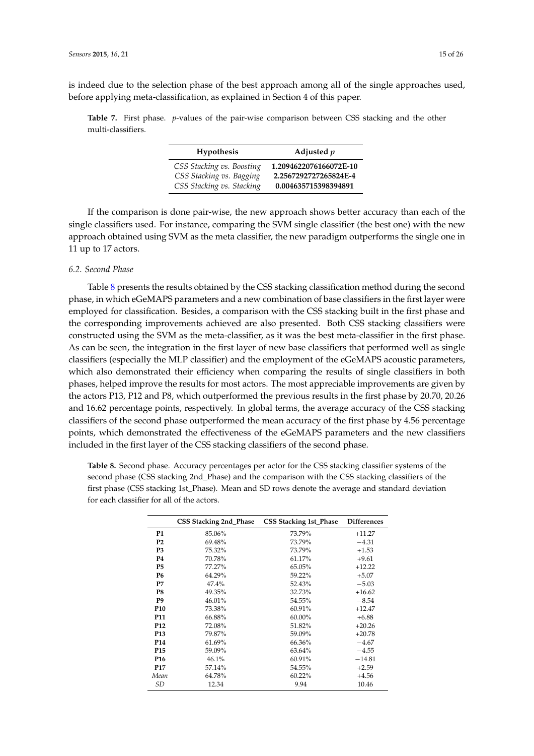is indeed due to the selection phase of the best approach among all of the single approaches used, before applying meta-classification, as explained in Section 4 of this paper.

<span id="page-14-0"></span>**Table 7.** First phase. *p*-values of the pair-wise comparison between CSS stacking and the other multi-classifiers.

| <b>Hypothesis</b>                                     | Adjusted $p$                                    |
|-------------------------------------------------------|-------------------------------------------------|
| CSS Stacking vs. Boosting<br>CSS Stacking vs. Bagging | 1.2094622076166072E-10<br>2.2567292727265824E-4 |
| CSS Stacking vs. Stacking                             | 0.004635715398394891                            |

If the comparison is done pair-wise, the new approach shows better accuracy than each of the single classifiers used. For instance, comparing the SVM single classifier (the best one) with the new approach obtained using SVM as the meta classifier, the new paradigm outperforms the single one in 11 up to 17 actors.

## *6.2. Second Phase*

Table [8](#page-14-1) presents the results obtained by the CSS stacking classification method during the second phase, in which eGeMAPS parameters and a new combination of base classifiers in the first layer were employed for classification. Besides, a comparison with the CSS stacking built in the first phase and the corresponding improvements achieved are also presented. Both CSS stacking classifiers were constructed using the SVM as the meta-classifier, as it was the best meta-classifier in the first phase. As can be seen, the integration in the first layer of new base classifiers that performed well as single classifiers (especially the MLP classifier) and the employment of the eGeMAPS acoustic parameters, which also demonstrated their efficiency when comparing the results of single classifiers in both phases, helped improve the results for most actors. The most appreciable improvements are given by the actors P13, P12 and P8, which outperformed the previous results in the first phase by 20.70, 20.26 and 16.62 percentage points, respectively. In global terms, the average accuracy of the CSS stacking classifiers of the second phase outperformed the mean accuracy of the first phase by 4.56 percentage points, which demonstrated the effectiveness of the eGeMAPS parameters and the new classifiers included in the first layer of the CSS stacking classifiers of the second phase.

<span id="page-14-1"></span>**Table 8.** Second phase. Accuracy percentages per actor for the CSS stacking classifier systems of the second phase (CSS stacking 2nd\_Phase) and the comparison with the CSS stacking classifiers of the first phase (CSS stacking 1st\_Phase). Mean and SD rows denote the average and standard deviation for each classifier for all of the actors.

|                 | <b>CSS Stacking 2nd Phase</b> | <b>CSS Stacking 1st_Phase</b> | <b>Differences</b> |
|-----------------|-------------------------------|-------------------------------|--------------------|
| <b>P1</b>       | 85.06%                        | 73.79%                        | $+11.27$           |
| <b>P2</b>       | 69.48%                        | 73.79%                        | $-4.31$            |
| P <sub>3</sub>  | 75.32%                        | 73.79%                        | $+1.53$            |
| <b>P4</b>       | 70.78%                        | 61.17%                        | $+9.61$            |
| <b>P5</b>       | $77.27\%$                     | 65.05%                        | $+12.22$           |
| <b>P6</b>       | 64.29%                        | 59.22%                        | $+5.07$            |
| P7              | 47.4%                         | 52.43%                        | $-5.03$            |
| P8              | 49.35%                        | 32.73%                        | $+16.62$           |
| P <sub>9</sub>  | 46.01%                        | 54.55%                        | $-8.54$            |
| P <sub>10</sub> | 73.38%                        | 60.91%                        | $+12.47$           |
| P11             | 66.88%                        | 60.00%                        | $+6.88$            |
| P <sub>12</sub> | 72.08%                        | 51.82%                        | $+20.26$           |
| P <sub>13</sub> | 79.87%                        | 59.09%                        | $+20.78$           |
| P <sub>14</sub> | 61.69%                        | 66.36%                        | $-4.67$            |
| P <sub>15</sub> | 59.09%                        | 63.64%                        | $-4.55$            |
| P <sub>16</sub> | 46.1%                         | 60.91%                        | $-14.81$           |
| <b>P17</b>      | 57.14%                        | 54.55%                        | $+2.59$            |
| Mean            | 64.78%                        | 60.22%                        | $+4.56$            |
| SD              | 12.34                         | 9.94                          | 10.46              |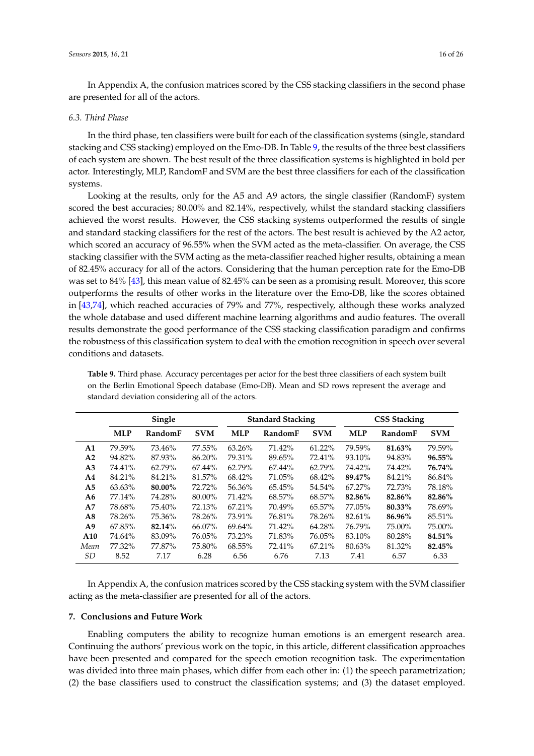In Appendix A, the confusion matrices scored by the CSS stacking classifiers in the second phase are presented for all of the actors.

#### *6.3. Third Phase*

In the third phase, ten classifiers were built for each of the classification systems (single, standard stacking and CSS stacking) employed on the Emo-DB. In Table [9,](#page-15-0) the results of the three best classifiers of each system are shown. The best result of the three classification systems is highlighted in bold per actor. Interestingly, MLP, RandomF and SVM are the best three classifiers for each of the classification systems.

Looking at the results, only for the A5 and A9 actors, the single classifier (RandomF) system scored the best accuracies; 80.00% and 82.14%, respectively, whilst the standard stacking classifiers achieved the worst results. However, the CSS stacking systems outperformed the results of single and standard stacking classifiers for the rest of the actors. The best result is achieved by the A2 actor, which scored an accuracy of 96.55% when the SVM acted as the meta-classifier. On average, the CSS stacking classifier with the SVM acting as the meta-classifier reached higher results, obtaining a mean of 82.45% accuracy for all of the actors. Considering that the human perception rate for the Emo-DB was set to 84% [\[43\]](#page-24-9), this mean value of 82.45% can be seen as a promising result. Moreover, this score outperforms the results of other works in the literature over the Emo-DB, like the scores obtained in [\[43](#page-24-9)[,74\]](#page-25-19), which reached accuracies of 79% and 77%, respectively, although these works analyzed the whole database and used different machine learning algorithms and audio features. The overall results demonstrate the good performance of the CSS stacking classification paradigm and confirms the robustness of this classification system to deal with the emotion recognition in speech over several conditions and datasets.

|                |            | Single  |            |            | <b>Standard Stacking</b> |            | <b>CSS Stacking</b> |         |            |  |
|----------------|------------|---------|------------|------------|--------------------------|------------|---------------------|---------|------------|--|
|                | <b>MLP</b> | RandomF | <b>SVM</b> | <b>MLP</b> | RandomF                  | <b>SVM</b> | <b>MLP</b>          | RandomF | <b>SVM</b> |  |
| A1             | 79.59%     | 73.46%  | 77.55%     | 63.26%     | 71.42%                   | $61.22\%$  | 79.59%              | 81.63%  | 79.59%     |  |
| A2             | 94.82%     | 87.93%  | 86.20%     | 79.31%     | 89.65%                   | 72.41%     | 93.10%              | 94.83%  | 96.55%     |  |
| A <sub>3</sub> | 74.41%     | 62.79%  | $67.44\%$  | 62.79%     | 67.44%                   | 62.79%     | 74.42%              | 74.42%  | 76.74%     |  |
| A4             | 84.21%     | 84.21%  | 81.57%     | 68.42%     | 71.05%                   | 68.42%     | 89.47%              | 84.21%  | 86.84%     |  |
| A5             | 63.63%     | 80.00%  | 72.72%     | 56.36%     | 65.45%                   | 54.54%     | 67.27%              | 72.73%  | 78.18%     |  |
| A6             | 77.14%     | 74.28%  | 80.00%     | 71.42%     | 68.57%                   | 68.57%     | 82.86%              | 82.86%  | 82.86%     |  |
| A7             | 78.68%     | 75.40%  | 72.13%     | 67.21%     | 70.49%                   | 65.57%     | 77.05%              | 80.33%  | 78.69%     |  |
| A8             | 78.26%     | 75.36%  | 78.26%     | 73.91%     | 76.81%                   | 78.26%     | 82.61%              | 86.96%  | 85.51%     |  |
| A <sub>9</sub> | 67.85%     | 82.14%  | 66.07%     | 69.64%     | 71.42%                   | 64.28%     | 76.79%              | 75.00%  | 75.00%     |  |
| A10            | 74.64%     | 83.09%  | 76.05%     | 73.23%     | 71.83%                   | 76.05%     | 83.10%              | 80.28%  | 84.51%     |  |
| Mean           | 77.32%     | 77.87%  | 75.80%     | 68.55%     | 72.41%                   | 67.21%     | 80.63%              | 81.32%  | 82.45%     |  |
| SD             | 8.52       | 7.17    | 6.28       | 6.56       | 6.76                     | 7.13       | 7.41                | 6.57    | 6.33       |  |

<span id="page-15-0"></span>**Table 9.** Third phase. Accuracy percentages per actor for the best three classifiers of each system built on the Berlin Emotional Speech database (Emo-DB). Mean and SD rows represent the average and standard deviation considering all of the actors.

In Appendix A, the confusion matrices scored by the CSS stacking system with the SVM classifier acting as the meta-classifier are presented for all of the actors.

#### **7. Conclusions and Future Work**

Enabling computers the ability to recognize human emotions is an emergent research area. Continuing the authors' previous work on the topic, in this article, different classification approaches have been presented and compared for the speech emotion recognition task. The experimentation was divided into three main phases, which differ from each other in: (1) the speech parametrization; (2) the base classifiers used to construct the classification systems; and (3) the dataset employed.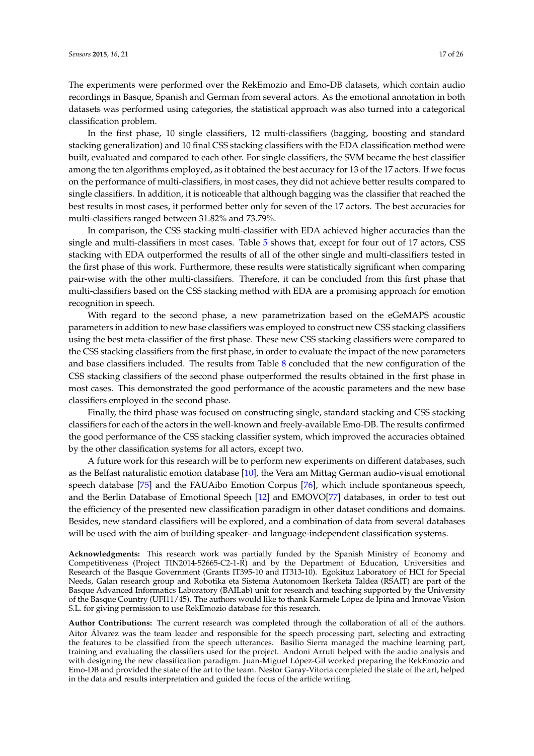The experiments were performed over the RekEmozio and Emo-DB datasets, which contain audio recordings in Basque, Spanish and German from several actors. As the emotional annotation in both datasets was performed using categories, the statistical approach was also turned into a categorical classification problem.

In the first phase, 10 single classifiers, 12 multi-classifiers (bagging, boosting and standard stacking generalization) and 10 final CSS stacking classifiers with the EDA classification method were built, evaluated and compared to each other. For single classifiers, the SVM became the best classifier among the ten algorithms employed, as it obtained the best accuracy for 13 of the 17 actors. If we focus on the performance of multi-classifiers, in most cases, they did not achieve better results compared to single classifiers. In addition, it is noticeable that although bagging was the classifier that reached the best results in most cases, it performed better only for seven of the 17 actors. The best accuracies for multi-classifiers ranged between 31.82% and 73.79%.

In comparison, the CSS stacking multi-classifier with EDA achieved higher accuracies than the single and multi-classifiers in most cases. Table [5](#page-12-1) shows that, except for four out of 17 actors, CSS stacking with EDA outperformed the results of all of the other single and multi-classifiers tested in the first phase of this work. Furthermore, these results were statistically significant when comparing pair-wise with the other multi-classifiers. Therefore, it can be concluded from this first phase that multi-classifiers based on the CSS stacking method with EDA are a promising approach for emotion recognition in speech.

With regard to the second phase, a new parametrization based on the eGeMAPS acoustic parameters in addition to new base classifiers was employed to construct new CSS stacking classifiers using the best meta-classifier of the first phase. These new CSS stacking classifiers were compared to the CSS stacking classifiers from the first phase, in order to evaluate the impact of the new parameters and base classifiers included. The results from Table [8](#page-14-1) concluded that the new configuration of the CSS stacking classifiers of the second phase outperformed the results obtained in the first phase in most cases. This demonstrated the good performance of the acoustic parameters and the new base classifiers employed in the second phase.

Finally, the third phase was focused on constructing single, standard stacking and CSS stacking classifiers for each of the actors in the well-known and freely-available Emo-DB. The results confirmed the good performance of the CSS stacking classifier system, which improved the accuracies obtained by the other classification systems for all actors, except two.

A future work for this research will be to perform new experiments on different databases, such as the Belfast naturalistic emotion database [\[10\]](#page-22-8), the Vera am Mittag German audio-visual emotional speech database [\[75\]](#page-25-20) and the FAUAibo Emotion Corpus [\[76\]](#page-25-21), which include spontaneous speech, and the Berlin Database of Emotional Speech [\[12\]](#page-23-1) and EMOVO[\[77\]](#page-25-22) databases, in order to test out the efficiency of the presented new classification paradigm in other dataset conditions and domains. Besides, new standard classifiers will be explored, and a combination of data from several databases will be used with the aim of building speaker- and language-independent classification systems.

**Acknowledgments:** This research work was partially funded by the Spanish Ministry of Economy and Competitiveness (Project TIN2014-52665-C2-1-R) and by the Department of Education, Universities and Research of the Basque Government (Grants IT395-10 and IT313-10). Egokituz Laboratory of HCI for Special Needs, Galan research group and Robotika eta Sistema Autonomoen Ikerketa Taldea (RSAIT) are part of the Basque Advanced Informatics Laboratory (BAILab) unit for research and teaching supported by the University of the Basque Country (UFI11/45). The authors would like to thank Karmele López de Ipiña and Innovae Vision S.L. for giving permission to use RekEmozio database for this research.

**Author Contributions:** The current research was completed through the collaboration of all of the authors. Aitor Álvarez was the team leader and responsible for the speech processing part, selecting and extracting the features to be classified from the speech utterances. Basilio Sierra managed the machine learning part, training and evaluating the classifiers used for the project. Andoni Arruti helped with the audio analysis and with designing the new classification paradigm. Juan-Miguel López-Gil worked preparing the RekEmozio and Emo-DB and provided the state of the art to the team. Nestor Garay-Vitoria completed the state of the art, helped in the data and results interpretation and guided the focus of the article writing.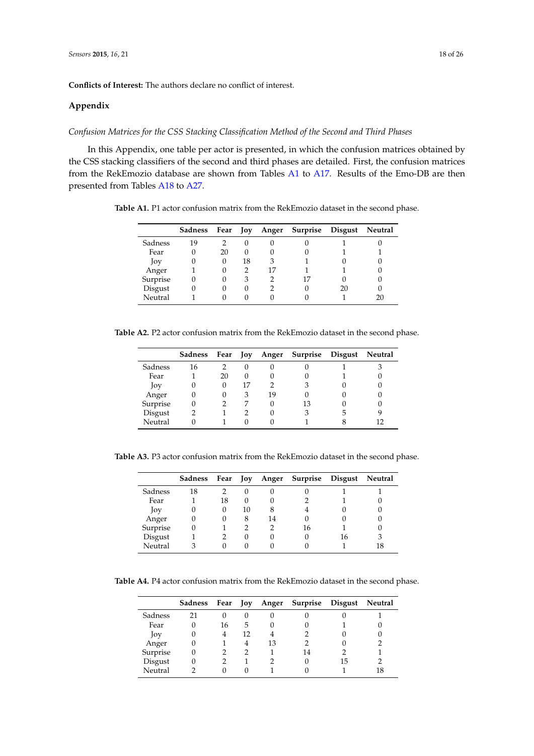**Conflicts of Interest:** The authors declare no conflict of interest.

#### **Appendix**

## *Confusion Matrices for the CSS Stacking Classification Method of the Second and Third Phases*

In this Appendix, one table per actor is presented, in which the confusion matrices obtained by the CSS stacking classifiers of the second and third phases are detailed. First, the confusion matrices from the RekEmozio database are shown from Tables [A1](#page-4-0) to [A17.](#page-20-0) Results of the Emo-DB are then presented from Tables [A18](#page-20-1) to [A27.](#page-22-10)

**Table A1.** P1 actor confusion matrix from the RekEmozio dataset in the second phase.

|          | Sadness | Fear | Joy      |   | Anger Surprise Disgust |    | Neutral |
|----------|---------|------|----------|---|------------------------|----|---------|
| Sadness  | 19      |      |          |   |                        |    |         |
| Fear     |         | 20   | $\theta$ |   |                        |    |         |
| Joy      |         | 0    | 18       | 3 |                        |    |         |
| Anger    |         |      |          |   |                        |    |         |
| Surprise |         |      | 3        |   |                        |    |         |
| Disgust  |         |      | $\theta$ |   |                        | 20 |         |
| Neutral  |         |      |          |   |                        |    | 20      |

**Table A2.** P2 actor confusion matrix from the RekEmozio dataset in the second phase.

|          | <b>Sadness</b> | Fear     | Joy          |    | Anger Surprise Disgust | Neutral |
|----------|----------------|----------|--------------|----|------------------------|---------|
| Sadness  | 16             |          | $\Box$       |    |                        |         |
| Fear     |                | 20       | $\mathbf{0}$ |    |                        |         |
| Joy      |                | $\Omega$ | 17           |    | З                      |         |
| Anger    |                |          | 3            | 19 |                        |         |
| Surprise |                |          |              |    | 13                     |         |
| Disgust  |                |          |              |    | З                      |         |
| Neutral  |                |          |              |    |                        | 12      |

**Table A3.** P3 actor confusion matrix from the RekEmozio dataset in the second phase.

|          | Sadness | Fear Joy |          |    | Anger Surprise Disgust Neutral |    |    |
|----------|---------|----------|----------|----|--------------------------------|----|----|
| Sadness  | 18      |          |          |    |                                |    |    |
| Fear     |         | 18       | $\theta$ |    |                                |    |    |
| Joy      |         | 0        | 10       | 8  |                                |    |    |
| Anger    |         |          | 8        | 14 |                                |    |    |
| Surprise |         |          |          |    | 16                             |    |    |
| Disgust  |         |          |          |    | 0                              | 16 | З  |
| Neutral  |         |          |          |    |                                |    | 18 |

**Table A4.** P4 actor confusion matrix from the RekEmozio dataset in the second phase.

|          |          |    |          |    | Sadness Fear Joy Anger Surprise Disgust Neutral |    |    |
|----------|----------|----|----------|----|-------------------------------------------------|----|----|
| Sadness  | 21       |    | $\theta$ |    |                                                 |    |    |
| Fear     | $\theta$ | 16 | 5        |    |                                                 |    |    |
| Joy      | $\theta$ | 4  | 12       |    |                                                 |    |    |
| Anger    | 0        |    | 4        | 13 |                                                 |    |    |
| Surprise | 0        |    | 2        |    | 14                                              |    |    |
| Disgust  | 0        |    |          |    | $\left( \right)$                                | 15 |    |
| Neutral  |          |    |          |    |                                                 |    | 18 |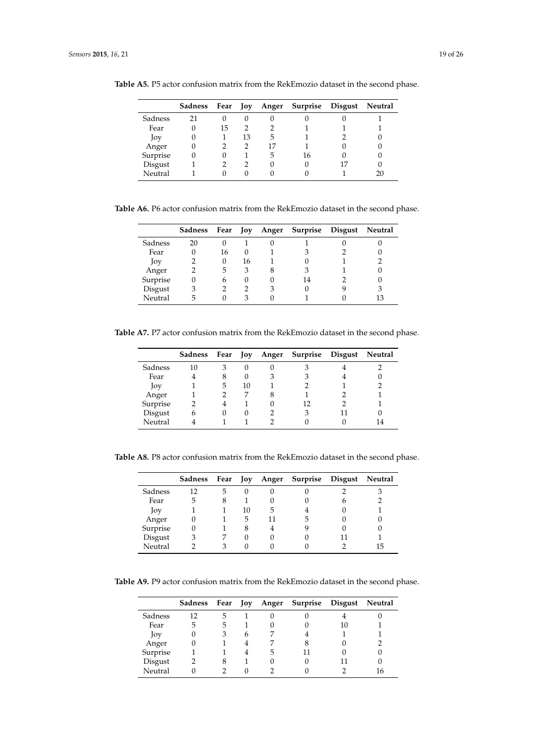|          |    |    |        |                  | Sadness Fear Joy Anger Surprise Disgust Neutral |  |
|----------|----|----|--------|------------------|-------------------------------------------------|--|
| Sadness  | 21 |    | $\cup$ | $\left( \right)$ |                                                 |  |
| Fear     |    | 15 | 2      |                  |                                                 |  |
| Joy      | O  |    | 13     | 5                |                                                 |  |
| Anger    |    |    |        | 17               |                                                 |  |
| Surprise |    |    |        | 5                | 16                                              |  |
| Disgust  |    |    |        | $\theta$         |                                                 |  |
| Neutral  |    |    |        |                  |                                                 |  |

**Table A5.** P5 actor confusion matrix from the RekEmozio dataset in the second phase.

**Table A6.** P6 actor confusion matrix from the RekEmozio dataset in the second phase.

|          | <b>Sadness</b> | Fear Joy |                  |   | Anger Surprise Disgust | Neutral |
|----------|----------------|----------|------------------|---|------------------------|---------|
| Sadness  | 20             |          |                  |   |                        |         |
| Fear     |                | 16       | $\left( \right)$ |   | З                      |         |
| Joy      |                |          | 16               |   |                        |         |
| Anger    |                | 5        | 3                | 8 | 3                      |         |
| Surprise |                | 6        | $\mathbf{U}$     |   | 14                     |         |
| Disgust  | 3              |          |                  | З |                        | 3       |
| Neutral  | 5              |          |                  |   |                        | 13      |

**Table A7.** P7 actor confusion matrix from the RekEmozio dataset in the second phase.

|          | Sadness | Fear Joy |          |   | Anger Surprise Disgust | Neutral |
|----------|---------|----------|----------|---|------------------------|---------|
| Sadness  | 10      | 3        | 0        |   |                        |         |
| Fear     |         | 8        | $\theta$ | 3 | 3                      |         |
| Joy      |         | 5        | 10       |   |                        |         |
| Anger    |         |          |          | 8 |                        |         |
| Surprise |         |          |          |   | 12                     |         |
| Disgust  | h       |          | $\Omega$ |   | 3                      |         |
| Neutral  |         |          |          |   |                        | 14      |

**Table A8.** P8 actor confusion matrix from the RekEmozio dataset in the second phase.

|          | <b>Sadness</b> | Fear | Joy |   | Anger Surprise Disgust | Neutral |
|----------|----------------|------|-----|---|------------------------|---------|
| Sadness  | 12             | 5    |     |   |                        |         |
| Fear     | 5              | 8    |     |   |                        |         |
| Joy      |                |      | 10  | 5 |                        |         |
| Anger    |                |      | 5   |   | 5                      |         |
| Surprise |                |      | 8   |   |                        |         |
| Disgust  |                |      |     |   |                        |         |
| Neutral  |                |      |     |   |                        | 15      |

**Table A9.** P9 actor confusion matrix from the RekEmozio dataset in the second phase.

|          | Sadness |    |   |   | Fear Joy Anger Surprise Disgust |    | Neutral |
|----------|---------|----|---|---|---------------------------------|----|---------|
| Sadness  | 12      | 5  |   |   |                                 |    |         |
| Fear     | 5       | b. |   |   |                                 | 10 |         |
| Joy      |         |    | 6 |   |                                 |    |         |
| Anger    |         |    |   |   |                                 |    |         |
| Surprise |         |    |   | 5 |                                 |    |         |
| Disgust  | 2       | 8  |   |   |                                 |    |         |
| Neutral  |         |    |   |   |                                 |    | 16      |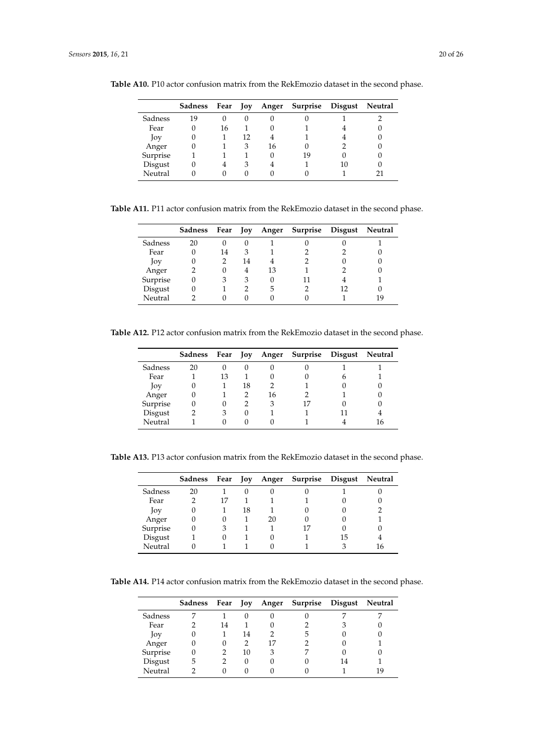|          |    |    |              |          | Sadness Fear Joy Anger Surprise Disgust Neutral |  |
|----------|----|----|--------------|----------|-------------------------------------------------|--|
| Sadness  | 19 |    | $\mathbf{0}$ | $\left($ |                                                 |  |
| Fear     | 0  | 16 |              |          |                                                 |  |
| Joy      | 0  |    | 12           |          |                                                 |  |
| Anger    | 0  |    | 3            | 16       |                                                 |  |
| Surprise |    |    |              | 0        | 19                                              |  |
| Disgust  | 0  |    | 3            |          |                                                 |  |
| Neutral  |    |    |              |          |                                                 |  |

**Table A10.** P10 actor confusion matrix from the RekEmozio dataset in the second phase.

**Table A11.** P11 actor confusion matrix from the RekEmozio dataset in the second phase.

|          | Sadness |    |    |    | Fear Joy Anger Surprise Disgust | Neutral |
|----------|---------|----|----|----|---------------------------------|---------|
| Sadness  | 20      |    | O  |    |                                 |         |
| Fear     |         | 14 |    |    |                                 |         |
| Joy      |         |    | 14 |    |                                 |         |
| Anger    |         |    | 4  | 13 |                                 |         |
| Surprise |         |    | 3  |    |                                 |         |
| Disgust  |         |    |    | 5  |                                 |         |
| Neutral  |         |    |    |    |                                 | 19      |

**Table A12.** P12 actor confusion matrix from the RekEmozio dataset in the second phase.

|          | Sadness | Fear Joy |          |    | Anger Surprise Disgust |   | Neutral |
|----------|---------|----------|----------|----|------------------------|---|---------|
| Sadness  | 20      | 0        | $\theta$ |    |                        |   |         |
| Fear     |         | 13       |          | O  |                        | h |         |
| Joy      | O       |          | 18       |    |                        |   |         |
| Anger    |         |          |          | 16 |                        |   |         |
| Surprise |         | 0        |          | 3  | 17                     |   |         |
| Disgust  |         | 3        | 0        |    |                        |   |         |
| Neutral  |         |          |          |    |                        |   | 16      |

**Table A13.** P13 actor confusion matrix from the RekEmozio dataset in the second phase.

|          | Sadness | Fear Joy |    |    | Anger Surprise Disgust |    | Neutral |
|----------|---------|----------|----|----|------------------------|----|---------|
| Sadness  | 20      |          |    |    |                        |    |         |
| Fear     |         | 17       |    |    |                        |    |         |
| Joy      |         |          | 18 |    |                        |    |         |
| Anger    |         |          |    | 20 |                        |    |         |
| Surprise |         |          |    |    |                        |    |         |
| Disgust  |         |          |    |    |                        | ר! |         |
| Neutral  |         |          |    |    |                        |    | 16      |

**Table A14.** P14 actor confusion matrix from the RekEmozio dataset in the second phase.

|          | Sadness      |    |    |    | Fear Joy Anger Surprise Disgust Neutral |    |     |
|----------|--------------|----|----|----|-----------------------------------------|----|-----|
| Sadness  |              |    |    |    |                                         |    |     |
| Fear     |              | 14 |    |    |                                         |    |     |
| Joy      |              |    | 14 |    |                                         |    |     |
| Anger    | $\mathbf{0}$ |    |    | 17 |                                         |    |     |
| Surprise | 0            |    | 10 | 3  |                                         |    |     |
| Disgust  | 5            |    | 0  |    |                                         | 14 |     |
| Neutral  |              |    |    |    |                                         |    | 1 G |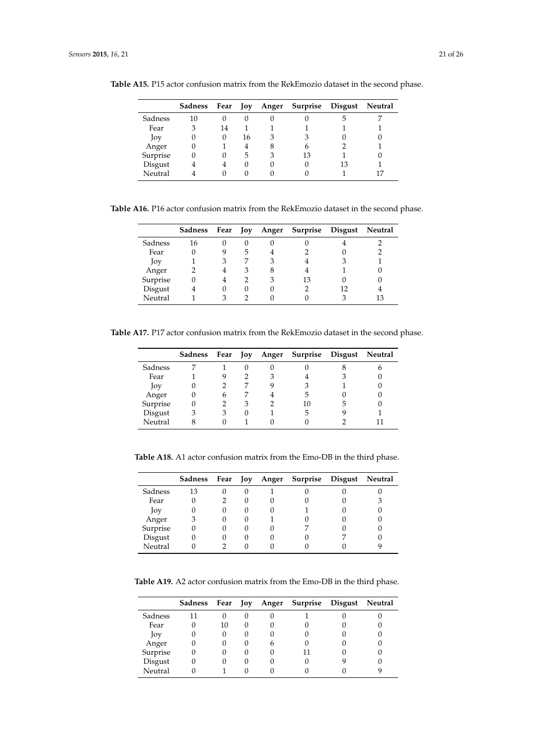|          |          |    |    |   | Sadness Fear Joy Anger Surprise Disgust Neutral |  |
|----------|----------|----|----|---|-------------------------------------------------|--|
| Sadness  | 10       | 0  |    |   |                                                 |  |
| Fear     | 3        | 14 |    |   |                                                 |  |
| Joy      | $\theta$ | O  | 16 | 3 | 3                                               |  |
| Anger    |          |    | 4  | 8 | 6                                               |  |
| Surprise |          | 0  | 5  | 3 | 13                                              |  |
| Disgust  |          |    |    |   |                                                 |  |
| Neutral  |          |    |    |   |                                                 |  |

**Table A15.** P15 actor confusion matrix from the RekEmozio dataset in the second phase.

**Table A16.** P16 actor confusion matrix from the RekEmozio dataset in the second phase.

|          | <b>Sadness</b> | Fear Joy     |   | Anger Surprise Disgust | Neutral |
|----------|----------------|--------------|---|------------------------|---------|
| Sadness  | 16             | 0            |   |                        |         |
| Fear     |                |              |   |                        |         |
| Joy      |                | 3            | 3 |                        |         |
| Anger    |                |              | 8 |                        |         |
| Surprise |                |              | 3 | 13                     |         |
| Disgust  |                | $\mathbf{0}$ |   |                        |         |
| Neutral  |                |              |   |                        |         |

<span id="page-20-0"></span>**Table A17.** P17 actor confusion matrix from the RekEmozio dataset in the second phase.

|          |   |   |   |                  | Sadness Fear Joy Anger Surprise Disgust Neutral |   |
|----------|---|---|---|------------------|-------------------------------------------------|---|
| Sadness  |   |   |   | $\left( \right)$ |                                                 | n |
| Fear     |   |   |   |                  |                                                 |   |
| Joy      |   |   |   | Q                | З                                               |   |
| Anger    |   | h |   |                  | 5                                               |   |
| Surprise |   |   | З |                  | 10                                              |   |
| Disgust  | 3 | 3 |   |                  | 5                                               |   |
| Neutral  |   |   |   |                  |                                                 |   |

<span id="page-20-1"></span>**Table A18.** A1 actor confusion matrix from the Emo-DB in the third phase.

|          | Sadness Fear Joy |              |  | Anger Surprise Disgust | Neutral |
|----------|------------------|--------------|--|------------------------|---------|
| Sadness  | 13               | 0            |  |                        |         |
| Fear     |                  |              |  |                        |         |
| Joy      |                  | 0            |  |                        |         |
| Anger    |                  | 0            |  |                        |         |
| Surprise |                  | $\mathbf{0}$ |  |                        |         |
| Disgust  |                  | $\mathbf{0}$ |  |                        |         |
| Neutral  |                  |              |  |                        |         |

**Table A19.** A2 actor confusion matrix from the Emo-DB in the third phase.

|          |    |          |   | Sadness Fear Joy Anger Surprise Disgust Neutral |  |
|----------|----|----------|---|-------------------------------------------------|--|
| Sadness  |    |          | U |                                                 |  |
| Fear     | 10 | $\theta$ | O |                                                 |  |
| Joy      |    |          |   |                                                 |  |
| Anger    |    |          | h |                                                 |  |
| Surprise |    |          |   |                                                 |  |
| Disgust  |    |          |   |                                                 |  |
| Neutral  |    |          |   |                                                 |  |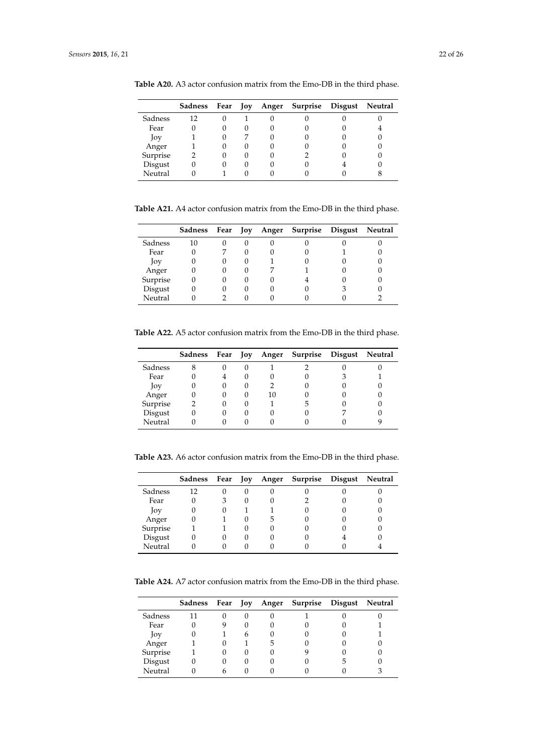|          |    |  | Sadness Fear Joy Anger Surprise Disgust Neutral |  |
|----------|----|--|-------------------------------------------------|--|
| Sadness  | 12 |  |                                                 |  |
| Fear     |    |  |                                                 |  |
| Joy      |    |  |                                                 |  |
| Anger    |    |  |                                                 |  |
| Surprise |    |  |                                                 |  |
| Disgust  |    |  |                                                 |  |
| Neutral  |    |  |                                                 |  |

**Table A20.** A3 actor confusion matrix from the Emo-DB in the third phase.

**Table A21.** A4 actor confusion matrix from the Emo-DB in the third phase.

|          | Sadness Fear Joy |  | Anger Surprise Disgust | Neutral |
|----------|------------------|--|------------------------|---------|
| Sadness  | 10               |  |                        |         |
| Fear     |                  |  |                        |         |
| Joy      |                  |  |                        |         |
| Anger    |                  |  |                        |         |
| Surprise |                  |  |                        |         |
| Disgust  |                  |  |                        |         |
| Neutral  |                  |  |                        |         |

**Table A22.** A5 actor confusion matrix from the Emo-DB in the third phase.

|          |              |              |    | Sadness Fear Joy Anger Surprise Disgust | Neutral |
|----------|--------------|--------------|----|-----------------------------------------|---------|
| Sadness  | 0            | $\cup$       |    |                                         |         |
| Fear     |              | O            |    |                                         |         |
| Joy      | 0            | $\theta$     |    |                                         |         |
| Anger    | 0            | $\mathbf{0}$ | 10 |                                         |         |
| Surprise | 0            | $\cup$       |    | h                                       |         |
| Disgust  | $\mathbf{0}$ | 0            |    |                                         |         |
| Neutral  |              |              |    |                                         |         |

**Table A23.** A6 actor confusion matrix from the Emo-DB in the third phase.

|          | Sadness Fear Joy |   |   | Anger Surprise Disgust | Neutral |
|----------|------------------|---|---|------------------------|---------|
| Sadness  | 12               | 0 |   |                        |         |
| Fear     |                  | 3 |   |                        |         |
| Joy      |                  | 0 |   |                        |         |
| Anger    |                  |   | 5 |                        |         |
| Surprise |                  |   |   |                        |         |
| Disgust  |                  |   |   |                        |         |
| Neutral  |                  |   |   |                        |         |

**Table A24.** A7 actor confusion matrix from the Emo-DB in the third phase.

|          |   |   |   | Sadness Fear Joy Anger Surprise Disgust Neutral |  |
|----------|---|---|---|-------------------------------------------------|--|
| Sadness  |   |   |   |                                                 |  |
| Fear     |   |   | U |                                                 |  |
| Joy      |   | h |   |                                                 |  |
| Anger    |   |   | 5 |                                                 |  |
| Surprise |   |   |   |                                                 |  |
| Disgust  | 0 |   |   |                                                 |  |
| Neutral  |   |   |   |                                                 |  |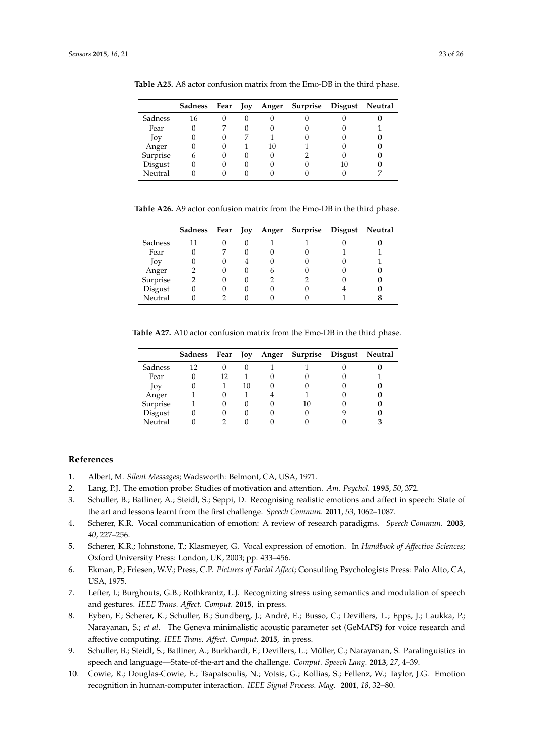|          | Sadness | Fear Joy |    | Anger Surprise Disgust | Neutral |
|----------|---------|----------|----|------------------------|---------|
| Sadness  | 16      |          |    |                        |         |
| Fear     |         |          |    |                        |         |
| Joy      |         | 0        |    |                        |         |
| Anger    |         | 0        | 10 |                        |         |
| Surprise | h       | 0        |    |                        |         |
| Disgust  |         | 0        |    |                        |         |
| Neutral  |         |          |    |                        |         |

**Table A25.** A8 actor confusion matrix from the Emo-DB in the third phase.

**Table A26.** A9 actor confusion matrix from the Emo-DB in the third phase.

|          | Sadness | Fear Joy      |   | Anger Surprise Disgust | Neutral |
|----------|---------|---------------|---|------------------------|---------|
| Sadness  | 11      | 0             |   |                        |         |
| Fear     |         |               |   |                        |         |
| Joy      |         | $\mathcal{O}$ |   |                        |         |
| Anger    |         | 0             | h |                        |         |
| Surprise |         | 0             |   |                        |         |
| Disgust  |         | 0             |   |                        |         |
| Neutral  |         |               |   |                        |         |

<span id="page-22-10"></span>**Table A27.** A10 actor confusion matrix from the Emo-DB in the third phase.

|          | Sadness |    |    | Fear Joy Anger Surprise Disgust | Neutral |
|----------|---------|----|----|---------------------------------|---------|
| Sadness  | 12      |    |    |                                 |         |
| Fear     |         | 12 |    |                                 |         |
| Joy      |         |    | 10 |                                 |         |
| Anger    |         |    |    |                                 |         |
| Surprise |         |    |    | 10                              |         |
| Disgust  |         |    |    | $\cup$                          |         |
| Neutral  |         |    |    |                                 |         |

## **References**

- <span id="page-22-0"></span>1. Albert, M. *Silent Messages*; Wadsworth: Belmont, CA, USA, 1971.
- <span id="page-22-1"></span>2. Lang, P.J. The emotion probe: Studies of motivation and attention. *Am. Psychol.* **1995**, *50*, 372.
- <span id="page-22-2"></span>3. Schuller, B.; Batliner, A.; Steidl, S.; Seppi, D. Recognising realistic emotions and affect in speech: State of the art and lessons learnt from the first challenge. *Speech Commun.* **2011**, *53*, 1062–1087.
- <span id="page-22-9"></span>4. Scherer, K.R. Vocal communication of emotion: A review of research paradigms. *Speech Commun.* **2003**, *40*, 227–256.
- <span id="page-22-3"></span>5. Scherer, K.R.; Johnstone, T.; Klasmeyer, G. Vocal expression of emotion. In *Handbook of Affective Sciences*; Oxford University Press: London, UK, 2003; pp. 433–456.
- <span id="page-22-4"></span>6. Ekman, P.; Friesen, W.V.; Press, C.P. *Pictures of Facial Affect*; Consulting Psychologists Press: Palo Alto, CA, USA, 1975.
- <span id="page-22-5"></span>7. Lefter, I.; Burghouts, G.B.; Rothkrantz, L.J. Recognizing stress using semantics and modulation of speech and gestures. *IEEE Trans. Affect. Comput.* **2015**, in press.
- <span id="page-22-6"></span>8. Eyben, F.; Scherer, K.; Schuller, B.; Sundberg, J.; André, E.; Busso, C.; Devillers, L.; Epps, J.; Laukka, P.; Narayanan, S.; *et al*. The Geneva minimalistic acoustic parameter set (GeMAPS) for voice research and affective computing. *IEEE Trans. Affect. Comput.* **2015**, in press.
- <span id="page-22-7"></span>9. Schuller, B.; Steidl, S.; Batliner, A.; Burkhardt, F.; Devillers, L.; Müller, C.; Narayanan, S. Paralinguistics in speech and language—State-of-the-art and the challenge. *Comput. Speech Lang.* **2013**, *27*, 4–39.
- <span id="page-22-8"></span>10. Cowie, R.; Douglas-Cowie, E.; Tsapatsoulis, N.; Votsis, G.; Kollias, S.; Fellenz, W.; Taylor, J.G. Emotion recognition in human-computer interaction. *IEEE Signal Process. Mag.* **2001**, *18*, 32–80.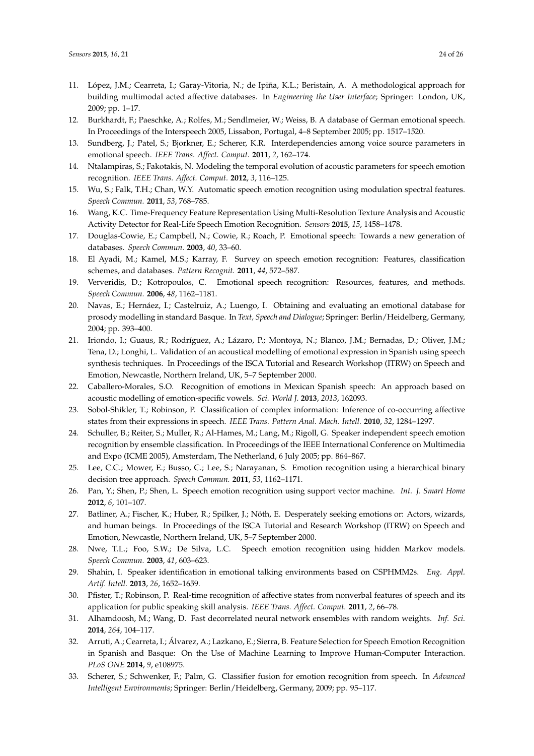- <span id="page-23-0"></span>11. López, J.M.; Cearreta, I.; Garay-Vitoria, N.; de Ipiña, K.L.; Beristain, A. A methodological approach for building multimodal acted affective databases. In *Engineering the User Interface*; Springer: London, UK, 2009; pp. 1–17.
- <span id="page-23-1"></span>12. Burkhardt, F.; Paeschke, A.; Rolfes, M.; Sendlmeier, W.; Weiss, B. A database of German emotional speech. In Proceedings of the Interspeech 2005, Lissabon, Portugal, 4–8 September 2005; pp. 1517–1520.
- <span id="page-23-2"></span>13. Sundberg, J.; Patel, S.; Bjorkner, E.; Scherer, K.R. Interdependencies among voice source parameters in emotional speech. *IEEE Trans. Affect. Comput.* **2011**, *2*, 162–174.
- <span id="page-23-3"></span>14. Ntalampiras, S.; Fakotakis, N. Modeling the temporal evolution of acoustic parameters for speech emotion recognition. *IEEE Trans. Affect. Comput.* **2012**, *3*, 116–125.
- <span id="page-23-4"></span>15. Wu, S.; Falk, T.H.; Chan, W.Y. Automatic speech emotion recognition using modulation spectral features. *Speech Commun.* **2011**, *53*, 768–785.
- <span id="page-23-5"></span>16. Wang, K.C. Time-Frequency Feature Representation Using Multi-Resolution Texture Analysis and Acoustic Activity Detector for Real-Life Speech Emotion Recognition. *Sensors* **2015**, *15*, 1458–1478.
- <span id="page-23-6"></span>17. Douglas-Cowie, E.; Campbell, N.; Cowie, R.; Roach, P. Emotional speech: Towards a new generation of databases. *Speech Commun.* **2003**, *40*, 33–60.
- <span id="page-23-7"></span>18. El Ayadi, M.; Kamel, M.S.; Karray, F. Survey on speech emotion recognition: Features, classification schemes, and databases. *Pattern Recognit.* **2011**, *44*, 572–587.
- <span id="page-23-8"></span>19. Ververidis, D.; Kotropoulos, C. Emotional speech recognition: Resources, features, and methods. *Speech Commun.* **2006**, *48*, 1162–1181.
- <span id="page-23-9"></span>20. Navas, E.; Hernáez, I.; Castelruiz, A.; Luengo, I. Obtaining and evaluating an emotional database for prosody modelling in standard Basque. In *Text, Speech and Dialogue*; Springer: Berlin/Heidelberg, Germany, 2004; pp. 393–400.
- <span id="page-23-10"></span>21. Iriondo, I.; Guaus, R.; Rodríguez, A.; Lázaro, P.; Montoya, N.; Blanco, J.M.; Bernadas, D.; Oliver, J.M.; Tena, D.; Longhi, L. Validation of an acoustical modelling of emotional expression in Spanish using speech synthesis techniques. In Proceedings of the ISCA Tutorial and Research Workshop (ITRW) on Speech and Emotion, Newcastle, Northern Ireland, UK, 5–7 September 2000.
- <span id="page-23-11"></span>22. Caballero-Morales, S.O. Recognition of emotions in Mexican Spanish speech: An approach based on acoustic modelling of emotion-specific vowels. *Sci. World J.* **2013**, *2013*, 162093.
- <span id="page-23-12"></span>23. Sobol-Shikler, T.; Robinson, P. Classification of complex information: Inference of co-occurring affective states from their expressions in speech. *IEEE Trans. Pattern Anal. Mach. Intell.* **2010**, *32*, 1284–1297.
- <span id="page-23-13"></span>24. Schuller, B.; Reiter, S.; Muller, R.; Al-Hames, M.; Lang, M.; Rigoll, G. Speaker independent speech emotion recognition by ensemble classification. In Proceedings of the IEEE International Conference on Multimedia and Expo (ICME 2005), Amsterdam, The Netherland, 6 July 2005; pp. 864–867.
- 25. Lee, C.C.; Mower, E.; Busso, C.; Lee, S.; Narayanan, S. Emotion recognition using a hierarchical binary decision tree approach. *Speech Commun.* **2011**, *53*, 1162–1171.
- <span id="page-23-14"></span>26. Pan, Y.; Shen, P.; Shen, L. Speech emotion recognition using support vector machine. *Int. J. Smart Home* **2012**, *6*, 101–107.
- <span id="page-23-15"></span>27. Batliner, A.; Fischer, K.; Huber, R.; Spilker, J.; Nöth, E. Desperately seeking emotions or: Actors, wizards, and human beings. In Proceedings of the ISCA Tutorial and Research Workshop (ITRW) on Speech and Emotion, Newcastle, Northern Ireland, UK, 5–7 September 2000.
- <span id="page-23-16"></span>28. Nwe, T.L.; Foo, S.W.; De Silva, L.C. Speech emotion recognition using hidden Markov models. *Speech Commun.* **2003**, *41*, 603–623.
- <span id="page-23-17"></span>29. Shahin, I. Speaker identification in emotional talking environments based on CSPHMM2s. *Eng. Appl. Artif. Intell.* **2013**, *26*, 1652–1659.
- <span id="page-23-18"></span>30. Pfister, T.; Robinson, P. Real-time recognition of affective states from nonverbal features of speech and its application for public speaking skill analysis. *IEEE Trans. Affect. Comput.* **2011**, *2*, 66–78.
- <span id="page-23-19"></span>31. Alhamdoosh, M.; Wang, D. Fast decorrelated neural network ensembles with random weights. *Inf. Sci.* **2014**, *264*, 104–117.
- <span id="page-23-20"></span>32. Arruti, A.; Cearreta, I.; Álvarez, A.; Lazkano, E.; Sierra, B. Feature Selection for Speech Emotion Recognition in Spanish and Basque: On the Use of Machine Learning to Improve Human-Computer Interaction. *PLoS ONE* **2014**, *9*, e108975.
- <span id="page-23-21"></span>33. Scherer, S.; Schwenker, F.; Palm, G. Classifier fusion for emotion recognition from speech. In *Advanced Intelligent Environments*; Springer: Berlin/Heidelberg, Germany, 2009; pp. 95–117.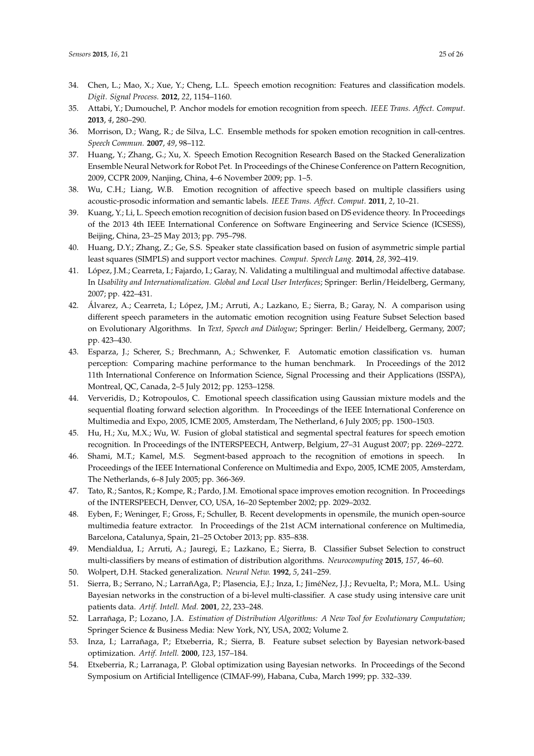- <span id="page-24-0"></span>34. Chen, L.; Mao, X.; Xue, Y.; Cheng, L.L. Speech emotion recognition: Features and classification models. *Digit. Signal Process.* **2012**, *22*, 1154–1160.
- <span id="page-24-1"></span>35. Attabi, Y.; Dumouchel, P. Anchor models for emotion recognition from speech. *IEEE Trans. Affect. Comput.* **2013**, *4*, 280–290.
- <span id="page-24-2"></span>36. Morrison, D.; Wang, R.; de Silva, L.C. Ensemble methods for spoken emotion recognition in call-centres. *Speech Commun.* **2007**, *49*, 98–112.
- <span id="page-24-3"></span>37. Huang, Y.; Zhang, G.; Xu, X. Speech Emotion Recognition Research Based on the Stacked Generalization Ensemble Neural Network for Robot Pet. In Proceedings of the Chinese Conference on Pattern Recognition, 2009, CCPR 2009, Nanjing, China, 4–6 November 2009; pp. 1–5.
- <span id="page-24-4"></span>38. Wu, C.H.; Liang, W.B. Emotion recognition of affective speech based on multiple classifiers using acoustic-prosodic information and semantic labels. *IEEE Trans. Affect. Comput.* **2011**, *2*, 10–21.
- <span id="page-24-5"></span>39. Kuang, Y.; Li, L. Speech emotion recognition of decision fusion based on DS evidence theory. In Proceedings of the 2013 4th IEEE International Conference on Software Engineering and Service Science (ICSESS), Beijing, China, 23–25 May 2013; pp. 795–798.
- <span id="page-24-6"></span>40. Huang, D.Y.; Zhang, Z.; Ge, S.S. Speaker state classification based on fusion of asymmetric simple partial least squares (SIMPLS) and support vector machines. *Comput. Speech Lang.* **2014**, *28*, 392–419.
- <span id="page-24-7"></span>41. López, J.M.; Cearreta, I.; Fajardo, I.; Garay, N. Validating a multilingual and multimodal affective database. In *Usability and Internationalization. Global and Local User Interfaces*; Springer: Berlin/Heidelberg, Germany, 2007; pp. 422–431.
- <span id="page-24-8"></span>42. Álvarez, A.; Cearreta, I.; López, J.M.; Arruti, A.; Lazkano, E.; Sierra, B.; Garay, N. A comparison using different speech parameters in the automatic emotion recognition using Feature Subset Selection based on Evolutionary Algorithms. In *Text, Speech and Dialogue*; Springer: Berlin/ Heidelberg, Germany, 2007; pp. 423–430.
- <span id="page-24-9"></span>43. Esparza, J.; Scherer, S.; Brechmann, A.; Schwenker, F. Automatic emotion classification vs. human perception: Comparing machine performance to the human benchmark. In Proceedings of the 2012 11th International Conference on Information Science, Signal Processing and their Applications (ISSPA), Montreal, QC, Canada, 2–5 July 2012; pp. 1253–1258.
- <span id="page-24-10"></span>44. Ververidis, D.; Kotropoulos, C. Emotional speech classification using Gaussian mixture models and the sequential floating forward selection algorithm. In Proceedings of the IEEE International Conference on Multimedia and Expo, 2005, ICME 2005, Amsterdam, The Netherland, 6 July 2005; pp. 1500–1503.
- 45. Hu, H.; Xu, M.X.; Wu, W. Fusion of global statistical and segmental spectral features for speech emotion recognition. In Proceedings of the INTERSPEECH, Antwerp, Belgium, 27–31 August 2007; pp. 2269–2272.
- <span id="page-24-11"></span>46. Shami, M.T.; Kamel, M.S. Segment-based approach to the recognition of emotions in speech. In Proceedings of the IEEE International Conference on Multimedia and Expo, 2005, ICME 2005, Amsterdam, The Netherlands, 6–8 July 2005; pp. 366-369.
- <span id="page-24-12"></span>47. Tato, R.; Santos, R.; Kompe, R.; Pardo, J.M. Emotional space improves emotion recognition. In Proceedings of the INTERSPEECH, Denver, CO, USA, 16–20 September 2002; pp. 2029–2032.
- <span id="page-24-13"></span>48. Eyben, F.; Weninger, F.; Gross, F.; Schuller, B. Recent developments in opensmile, the munich open-source multimedia feature extractor. In Proceedings of the 21st ACM international conference on Multimedia, Barcelona, Catalunya, Spain, 21–25 October 2013; pp. 835–838.
- <span id="page-24-14"></span>49. Mendialdua, I.; Arruti, A.; Jauregi, E.; Lazkano, E.; Sierra, B. Classifier Subset Selection to construct multi-classifiers by means of estimation of distribution algorithms. *Neurocomputing* **2015**, *157*, 46–60.
- <span id="page-24-16"></span><span id="page-24-15"></span>50. Wolpert, D.H. Stacked generalization. *Neural Netw.* **1992**, *5*, 241–259.
- 51. Sierra, B.; Serrano, N.; LarrañAga, P.; Plasencia, E.J.; Inza, I.; JiméNez, J.J.; Revuelta, P.; Mora, M.L. Using Bayesian networks in the construction of a bi-level multi-classifier. A case study using intensive care unit patients data. *Artif. Intell. Med.* **2001**, *22*, 233–248.
- <span id="page-24-17"></span>52. Larrañaga, P.; Lozano, J.A. *Estimation of Distribution Algorithms: A New Tool for Evolutionary Computation*; Springer Science & Business Media: New York, NY, USA, 2002; Volume 2.
- <span id="page-24-18"></span>53. Inza, I.; Larrañaga, P.; Etxeberria, R.; Sierra, B. Feature subset selection by Bayesian network-based optimization. *Artif. Intell.* **2000**, *123*, 157–184.
- <span id="page-24-19"></span>54. Etxeberria, R.; Larranaga, P. Global optimization using Bayesian networks. In Proceedings of the Second Symposium on Artificial Intelligence (CIMAF-99), Habana, Cuba, March 1999; pp. 332–339.